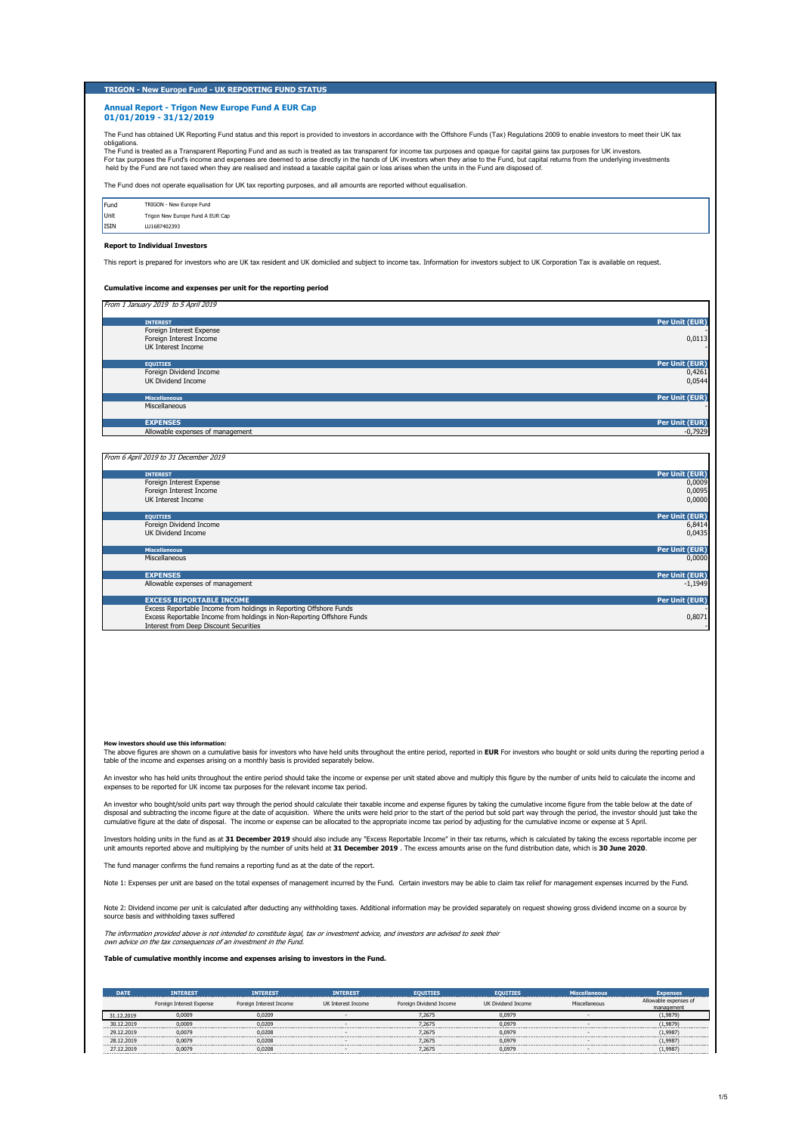### **TRIGON - New Europe Fund - UK REPORTING FUND STATUS**

### **Annual Report - Trigon New Europe Fund A EUR Cap 01/01/2019 - 31/12/2019**

The Fund has obtained UK Reporting Fund status and this report is provided to investors in accordance with the Offshore Funds (Tax) Regulations 2009 to enable investors to meet their UK tax

obligations.<br>The Fund is treated as a Transparent Reporting Fund and as such is treated as tax transparent for income tax purpose for apital gains tax purposes for UK investors. For tax purposes the Fund's income and expenses are deemed to arise directly in the hands of UK investors when they arise to the Fund, but capital returns from the underlying investments<br>held by the Fund are not taxed when

The Fund does not operate equalisation for UK tax reporting purposes, and all amounts are reported without equalisation.

Fund TRIGON - New Europe Fund Unit Trigon New Europe Fund A EUR Cap<br>ISIN LU1687402393  $\frac{1}{1}$ 

## **Report to Individual Investors**

This report is prepared for investors who are UK tax resident and UK domiciled and subject to income tax. Information for investors subject to UK Corporation Tax is available on request.

## **Cumulative income and expenses per unit for the reporting period**

| <b>INTEREST</b>                  | Per Unit (EUR) |
|----------------------------------|----------------|
| Foreign Interest Expense         |                |
| Foreign Interest Income          | 0,0113         |
| UK Interest Income               | $\sim$         |
| <b>EQUITIES</b>                  | Per Unit (EUR) |
| Foreign Dividend Income          | 0,4261         |
| <b>UK Dividend Income</b>        | 0,0544         |
| <b>Miscellaneous</b>             | Per Unit (EUR) |
| Miscellaneous                    |                |
| <b>EXPENSES</b>                  | Per Unit (EUR) |
| Allowable expenses of management | $-0,7929$      |

| <b>INTEREST</b>                                                        | Per Unit (EUR) |
|------------------------------------------------------------------------|----------------|
| Foreign Interest Expense                                               | 0,0009         |
| Foreign Interest Income                                                | 0,0095         |
| UK Interest Income                                                     | 0,0000         |
|                                                                        |                |
| <b>EQUITIES</b>                                                        | Per Unit (EUR) |
| Foreign Dividend Income                                                | 6,8414         |
| <b>UK Dividend Income</b>                                              | 0,0435         |
|                                                                        |                |
| <b>Miscellaneous</b>                                                   | Per Unit (EUR) |
| Miscellaneous                                                          | 0,0000         |
|                                                                        |                |
| <b>EXPENSES</b>                                                        | Per Unit (EUR) |
| Allowable expenses of management                                       | $-1.1949$      |
|                                                                        |                |
| <b>EXCESS REPORTABLE INCOME</b>                                        | Per Unit (EUR) |
| Excess Reportable Income from holdings in Reporting Offshore Funds     |                |
| Excess Reportable Income from holdings in Non-Reporting Offshore Funds | 0,8071         |
| Interest from Deen Discount Securities                                 |                |

| How investors should use this information:                                                                                                                                                             |
|--------------------------------------------------------------------------------------------------------------------------------------------------------------------------------------------------------|
| The above figures are shown on a cumulative basis for investors who have held units throughout the entire period, reported in EUR For investors who bought or sold units during the reporting period a |
| the left of the transactional and concern address are a consider trade to analytical accompany to below.                                                                                               |

table of the income and expenses arising on a monthly basis is provided separately below.

An investor who has held units throughout the entire period should take the income or expense per unit stated above and multiply this figure by the number of units held to calculate the income and

expenses to be reported for UK income tax purposes for the relevant income tax period.

An investor who bought/sold units part way through the period should calculate their taxable income and expense figures by taking the cumulative income figure from the table below at the date of<br>disposal and subtracting th

Investors holding units in the fund as at **31 December 2019** should also include any "Excess Reportable Income" in their tax returns, which is calculated by taking the excess reportable income per<br>unit amounts reported abo

The fund manager confirms the fund remains a reporting fund as at the date of the report.

Note 1: Expenses per unit are based on the total expenses of management incurred by the Fund. Certain investors may be able to claim tax relief for management expenses incurred by the Fund.

Note 2: Dividend income per unit is calculated after deducting any withholding taxes. Additional information may be provided separately on request showing gross dividend income on a source by

source basis and withholding taxes suffered

The information provided above is not intended to constitute legal, tax or investment advice, and investors are advised to seek their own advice on the tax consequences of an investment in the Fund.

**Table of cumulative monthly income and expenses arising to investors in the Fund.**

| <b>DATE</b> | <b>INTEREST</b>          | <b>INTEREST</b>         | <b>INTEREST</b>    | <b>EQUITIES</b>         | <b>EQUITIES</b>    | <b>Miscellaneous</b> | <b>Expenses</b>       |
|-------------|--------------------------|-------------------------|--------------------|-------------------------|--------------------|----------------------|-----------------------|
|             | Foreign Interest Expense | Foreign Interest Income | UK Interest Income | Foreign Dividend Income | UK Dividend Income | Miscellaneous        | Allowable expenses of |
|             |                          |                         |                    |                         |                    |                      | management            |
| 31.12.2019  | 0.0009                   | 0.0209                  |                    | 7,2675                  | 0,0979             |                      | (1,9879)              |
| 30.12.2019  | 0.0009                   | 0.0209                  |                    | 7.2675                  | 0.0979             |                      | (1,9879)              |
| 29.12.2019  | 0.0079                   | 0.0208                  |                    | 7.2675                  | 0.0979             |                      | (1,9987)              |
| 28.12.2019  | 0.0079                   | 0.0208                  |                    | 7.2675                  | 0.0979             |                      | (1.9987)              |
| 27.12.2019  | 0.0079                   | 0.0208                  |                    | 7.2675                  | 0.0979             |                      | (1,9987)              |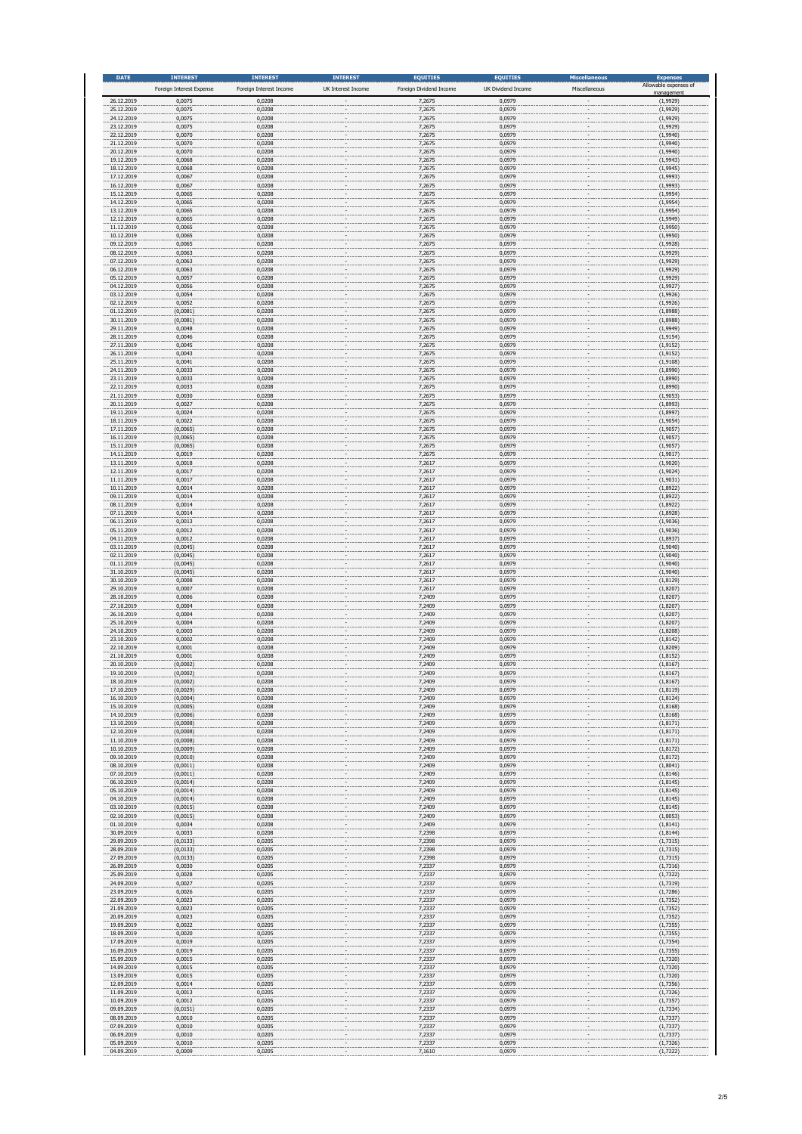| <b>DATE</b>              | <b>INTEREST</b>                    | <b>INTEREST</b>                   | <b>INTEREST</b>    | <b>EQUITIES</b>                   | <b>EQUITIES</b>              | <b>Miscellaneous</b><br>Miscellaneous | <b>Expenses</b><br>Allowable expenses of |
|--------------------------|------------------------------------|-----------------------------------|--------------------|-----------------------------------|------------------------------|---------------------------------------|------------------------------------------|
| 26.12.2019               | Foreign Interest Expense<br>0,0075 | Foreign Interest Income<br>0,0208 | UK Interest Income | Foreign Dividend Income<br>7,2675 | UK Dividend Income<br>0,0979 |                                       | nanageme<br>(1,9929)                     |
| 25.12.2019<br>24.12.2019 | 0,0075<br>0,0075                   | 0,0208<br>0,0208                  |                    | 7,2675<br>7,2675                  | 0,0979<br>0,0979             |                                       | (1,9929)<br>(1,9929)                     |
| 23.12.2019               | 0,0075                             | 0,0208                            |                    | 7,2675                            | 0,0979                       |                                       | (1,9929)                                 |
| 22.12.2019<br>21.12.2019 | 0,0070<br>0,0070                   | 0,0208<br>0,0208                  |                    | 7,2675<br>7,2675                  | 0,0979<br>0,0979             |                                       | (1,9940)<br>(1,9940)                     |
| 20.12.2019<br>19.12.2019 | 0,0070<br>0,0068                   | 0,0208<br>0,0208                  |                    | 7,2675<br>7,2675                  | 0,0979<br>0,0979             |                                       | (1,9940)<br>(1,9943)                     |
| 18.12.2019               | 0,0068                             | 0,0208                            |                    | 7,2675                            | 0,0979                       |                                       | (1,9945)                                 |
| 17.12.2019<br>16.12.2019 | 0,0067<br>0,0067                   | 0,0208<br>0,0208                  |                    | 7,2675<br>7,2675                  | 0,0979<br>0,0979             |                                       | (1,9993)<br>(1,9993)                     |
| 15.12.2019<br>14.12.2019 | 0,0065<br>0,0065                   | 0,0208<br>0,0208                  |                    | 7,2675<br>7,2675                  | 0,0979<br>0,0979             |                                       | (1,9954)<br>(1,9954)                     |
| 13.12.2019<br>12.12.2019 | 0,0065<br>0,0065                   | 0,0208<br>0,0208                  |                    | 7,2675<br>7,2675                  | 0,0979<br>0,0979             |                                       | (1,9954)<br>(1,9949)                     |
| 11.12.2019               | 0,0065                             | 0,0208                            |                    | 7,2675                            | 0,0979                       |                                       | (1,9950)                                 |
| 10.12.2019<br>09.12.2019 | 0,0065<br>0,0065                   | 0,0208<br>0,0208                  |                    | 7,2675<br>7,2675                  | 0,0979<br>0,0979             |                                       | (1,9950)<br>(1,9928)                     |
| 08.12.2019<br>07.12.2019 | 0,0063<br>0,0063                   | 0,0208<br>0,0208                  |                    | 7,2675<br>7,2675                  | 0,0979<br>0,0979             |                                       | (1,9929)<br>(1,9929)                     |
| 06.12.2019               | 0,0063                             | 0,0208                            |                    | 7,2675<br>7,2675                  | 0,0979                       |                                       | (1,9929)                                 |
| 05.12.2019<br>04.12.2019 | 0,0057<br>0,0056                   | 0,0208<br>0,0208                  |                    | 7,2675                            | 0,0979<br>0,0979             |                                       | (1,9929)<br>(1,9927)                     |
| 03.12.2019<br>02.12.2019 | 0,0054<br>0,0052                   | 0,0208<br>0,0208                  |                    | 7,2675<br>7,2675                  | 0,0979<br>0,0979             |                                       | (1,9926)<br>(1,9926)                     |
| 01.12.2019<br>30.11.2019 | (0,0081)<br>(0,0081)               | 0,0208<br>0,0208                  |                    | 7,2675<br>7,2675                  | 0,0979<br>0,0979             |                                       | (1,8988)<br>(1,8988)                     |
| 29.11.2019               | 0,0048                             | 0,0208                            |                    | 7,2675                            | 0,0979                       |                                       | (1,9949)                                 |
| 28.11.2019<br>27.11.2019 | 0,0046<br>0,0045                   | 0,0208<br>0,0208                  |                    | 7,2675<br>7,2675                  | 0,0979<br>0,0979             |                                       | (1, 9154)<br>(1, 9152)                   |
| 26.11.2019<br>25.11.2019 | 0,0043<br>0,0041                   | 0,0208<br>0,0208                  |                    | 7,2675<br>7,2675                  | 0,0979<br>0,0979             |                                       | (1, 9152)<br>(1,9108)                    |
| 24.11.2019               | 0,0033                             | 0,0208                            |                    | 7,2675                            | 0,0979                       |                                       | (1,8990)                                 |
| 23.11.2019<br>22.11.2019 | 0,0033<br>0,0033                   | 0,0208<br>0,0208                  |                    | 7,2675<br>7,2675                  | 0,0979<br>0,0979             |                                       | (1,8990)<br>(1,8990)                     |
| 21.11.2019<br>20.11.2019 | 0,0030<br>0,0027                   | 0,0208<br>0,0208                  |                    | 7,2675<br>7,2675                  | 0,0979<br>0,0979             |                                       | (1,9053)<br>(1,8993)                     |
| 19.11.2019<br>18.11.2019 | 0,0024<br>0,0022                   | 0,0208<br>0,0208                  |                    | 7,2675<br>7,2675                  | 0,0979<br>0,0979             |                                       | (1,8997)<br>(1,9054)                     |
| 17.11.2019               | (0,0065)                           | 0,0208                            |                    | 7,2675                            | 0,0979                       |                                       | (1,9057)                                 |
| 16.11.2019<br>15.11.2019 | (0,0065)<br>(0,0065)               | 0,0208<br>0,0208                  |                    | 7,2675<br>7,2675                  | 0,0979<br>0,0979             |                                       | (1,9057)<br>(1,9057)                     |
| 14.11.2019<br>13.11.2019 | 0,0019<br>0,0018                   | 0,0208<br>0,0208                  |                    | 7,2675<br>7,2617                  | 0,0979<br>0,0979             |                                       | (1,9017)<br>(1,9020)                     |
| 12.11.2019               | 0,0017                             | 0,0208                            |                    | 7,2617                            | 0,0979                       |                                       | (1,9024)                                 |
| 11.11.2019<br>10.11.2019 | 0,0017<br>0,0014                   | 0,0208<br>0,0208                  |                    | 7,2617<br>7,2617                  | 0,0979<br>0,0979             |                                       | (1,9031)<br>(1,8922)                     |
| 09.11.2019<br>08.11.2019 | 0,0014<br>0,0014                   | 0,0208<br>0,0208                  |                    | 7,2617<br>7,2617                  | 0,0979<br>0,0979             |                                       | (1,8922)<br>(1,8922)                     |
| 07.11.2019<br>06.11.2019 | 0,0014<br>0,0013                   | 0,0208<br>0,0208                  |                    | 7,2617<br>7,2617                  | 0,0979<br>0,0979             |                                       | (1,8928)<br>(1,9036)                     |
| 05.11.2019               | 0,0012                             | 0,0208                            |                    | 7,2617                            | 0,0979                       |                                       | (1,9036)                                 |
| 04.11.2019<br>03.11.2019 | 0,0012<br>(0,0045)                 | 0,0208<br>0,0208                  |                    | 7,2617<br>7,2617                  | 0,0979<br>0,0979             |                                       | (1,8937)<br>(1,9040)                     |
| 02.11.2019<br>01.11.2019 | (0,0045)<br>(0,0045)               | 0,0208<br>0,0208                  |                    | 7,2617<br>7,2617                  | 0,0979<br>0,0979             |                                       | (1,9040)<br>(1,9040)                     |
| 31.10.2019               | (0,0045)                           | 0,0208                            |                    | 7,2617                            | 0,0979                       |                                       | (1,9040)                                 |
| 30.10.2019<br>29.10.2019 | 0,0008<br>0,0007                   | 0,0208<br>0,0208                  |                    | 7,2617<br>7,2617                  | 0,0979<br>0,0979             |                                       | (1,8129)<br>(1,8207)                     |
| 28.10.2019<br>27.10.2019 | 0,0006<br>0,0004                   | 0,0208<br>0,0208                  |                    | 7,2409<br>7,2409                  | 0,0979<br>0,0979             |                                       | (1,8207)<br>(1,8207)                     |
| 26.10.2019<br>25.10.2019 | 0,0004<br>0,0004                   | 0,0208<br>0,0208                  |                    | 7,2409<br>7,2409                  | 0,0979<br>0,0979             |                                       | (1,8207)<br>(1,8207)                     |
| 24.10.2019               | 0,0003                             | 0,0208                            |                    | 7,2409                            | 0,0979                       |                                       | (1,8208)                                 |
| 23.10.2019<br>22.10.2019 | 0,0002<br>0,0001                   | 0,0208<br>0,0208                  |                    | 7,2409<br>7,2409                  | 0,0979<br>0,0979             |                                       | (1,8142)<br>(1,8209)                     |
| 21.10.2019<br>20.10.2019 | 0,0001<br>(0,0002)                 | 0,0208<br>0,0208                  |                    | 7,2409<br>7,2409                  | 0,0979<br>0,0979             |                                       | (1, 8152)<br>(1, 8167)                   |
| 19.10.2019<br>18.10.2019 | (0,0002)                           | 0,0208                            |                    | 7,2409                            | 0,0979                       |                                       | (1,8167)                                 |
| 17.10.2019               | (0,0002)<br>(0,0029)               | 0,0208<br>0,0208                  |                    | 7,2409<br>7,2409                  | 0,0979<br>0,0979             |                                       | (1, 8167)<br>(1, 8119)                   |
| 16.10.2019<br>15.10.2019 | (0,0004)<br>(0,0005)               | 0,0208<br>0,0208                  |                    | 7,2409<br>7,2409                  | 0,0979<br>0,0979             |                                       | (1,8124)<br>(1,8168)                     |
| 14.10.2019<br>13.10.2019 | (0,0006)<br>(0,0008)               | 0,0208<br>0,0208                  |                    | 7,2409<br>7,2409                  | 0,0979<br>0,0979             |                                       | (1,8168)<br>(1,8171)                     |
| 12.10.2019               | (0,0008)                           | 0,0208                            |                    | 7,2409                            | 0,0979                       |                                       | (1, 8171)                                |
| 11.10.2019<br>10.10.2019 | (0,0008)<br>(0,0009)               | 0,0208<br>0,0208                  |                    | 7,2409<br>7,2409                  | 0,0979<br>0,0979             |                                       | (1, 8171)<br>(1,8172)                    |
| 09.10.2019<br>08.10.2019 | (0,0010)<br>(0,0011)               | 0,0208<br>0,0208                  |                    | 7,2409<br>7,2409                  | 0,0979<br>0,0979             |                                       | (1, 8172)<br>(1,8041)                    |
| 07.10.2019<br>06.10.2019 | (0,0011)                           | 0,0208<br>0,0208                  |                    | 7,2409<br>7,2409                  | 0,0979<br>0,0979             |                                       | (1,8146)                                 |
| 05.10.2019               | (0,0014)<br>(0,0014)               | 0,0208                            |                    | 7,2409                            | 0,0979                       |                                       | (1,8145)<br>(1,8145)                     |
| 04.10.2019<br>03.10.2019 | (0,0014)<br>(0,0015)               | 0,0208<br>0,0208                  |                    | 7,2409<br>7,2409                  | 0,0979<br>0,0979             |                                       | (1,8145)<br>(1,8145)                     |
| 02.10.2019<br>01.10.2019 | (0,0015)<br>0,0034                 | 0,0208<br>0,0208                  |                    | 7,2409<br>7,2409                  | 0,0979<br>0,0979             |                                       | (1,8053)<br>(1,8141)                     |
| 30.09.2019               | 0,0033                             | 0,0208                            |                    | 7,2398                            | 0,0979                       |                                       | (1,8144)                                 |
| 29.09.2019<br>28.09.2019 | (0,0133)<br>(0, 0133)              | 0,0205<br>0,0205                  |                    | 7,2398<br>7,2398                  | 0,0979<br>0,0979             |                                       | (1,7315)<br>(1,7315)                     |
| 27.09.2019<br>26.09.2019 | (0,0133)<br>0,0030                 | 0,0205<br>0,0205                  |                    | 7,2398<br>7,2337                  | 0,0979<br>0,0979             |                                       | (1,7315)<br>(1,7316)                     |
| 25.09.2019               | 0,0028                             | 0,0205                            |                    | 7,2337                            | 0,0979                       |                                       | (1,7322)                                 |
| 24.09.2019<br>23.09.2019 | 0,0027<br>0,0026                   | 0,0205<br>0,0205                  |                    | 7,2337<br>7,2337                  | 0,0979<br>0,0979             |                                       | (1,7319)<br>(1,7286)                     |
| 22.09.2019<br>21.09.2019 | 0,0023<br>0,0023                   | 0,0205<br>0,0205                  |                    | 7,2337<br>7,2337                  | 0,0979<br>0,0979             |                                       | (1,7352)<br>(1,7352)                     |
| 20.09.2019<br>19.09.2019 | 0,0023<br>0,0022                   | 0,0205<br>0,0205                  |                    | 7,2337<br>7,2337                  | 0,0979<br>0,0979             |                                       | (1,7352)<br>(1,7355)                     |
| 18.09.2019               | 0,0020                             | 0,0205                            |                    | 7,2337                            | 0,0979                       |                                       | (1,7355)                                 |
| 17.09.2019<br>16.09.2019 | 0,0019<br>0,0019                   | 0,0205<br>0,0205                  |                    | 7,2337<br>7,2337                  | 0,0979<br>0,0979             |                                       | (1,7354)<br>(1,7355)                     |
| 15.09.2019<br>14.09.2019 | 0,0015<br>0,0015                   | 0,0205<br>0,0205                  |                    | 7,2337<br>7,2337                  | 0,0979<br>0,0979             |                                       | (1,7320)<br>(1,7320)                     |
| 13.09.2019               | 0,0015                             | 0,0205                            |                    | 7,2337                            | 0,0979                       |                                       | (1,7320)                                 |
| 12.09.2019<br>11.09.2019 | 0,0014<br>0,0013                   | 0,0205<br>0,0205                  |                    | 7,2337<br>7,2337                  | 0,0979<br>0,0979             |                                       | (1,7356)<br>(1,7326)                     |
| 10.09.2019<br>09.09.2019 | 0,0012<br>(0,0151)                 | 0,0205<br>0,0205                  |                    | 7,2337<br>7,2337                  | 0,0979<br>0,0979             |                                       | (1, 7357)<br>(1,7334)                    |
| 08.09.2019<br>07.09.2019 | 0,0010<br>0,0010                   | 0,0205<br>0,0205                  |                    | 7,2337<br>7,2337                  | 0,0979<br>0,0979             |                                       | (1,7337)<br>(1,7337)                     |
| 06.09.2019               | 0,0010                             | 0,0205                            |                    | 7,2337                            | 0,0979                       |                                       | (1, 7337)                                |
| 05.09.2019<br>04.09.2019 | 0,0010<br>0.0009                   | 0,0205<br>0.0205                  |                    | 7,2337<br>7,1610                  | 0,0979<br>0.0979             |                                       | (1,7326)<br>(1.7222)                     |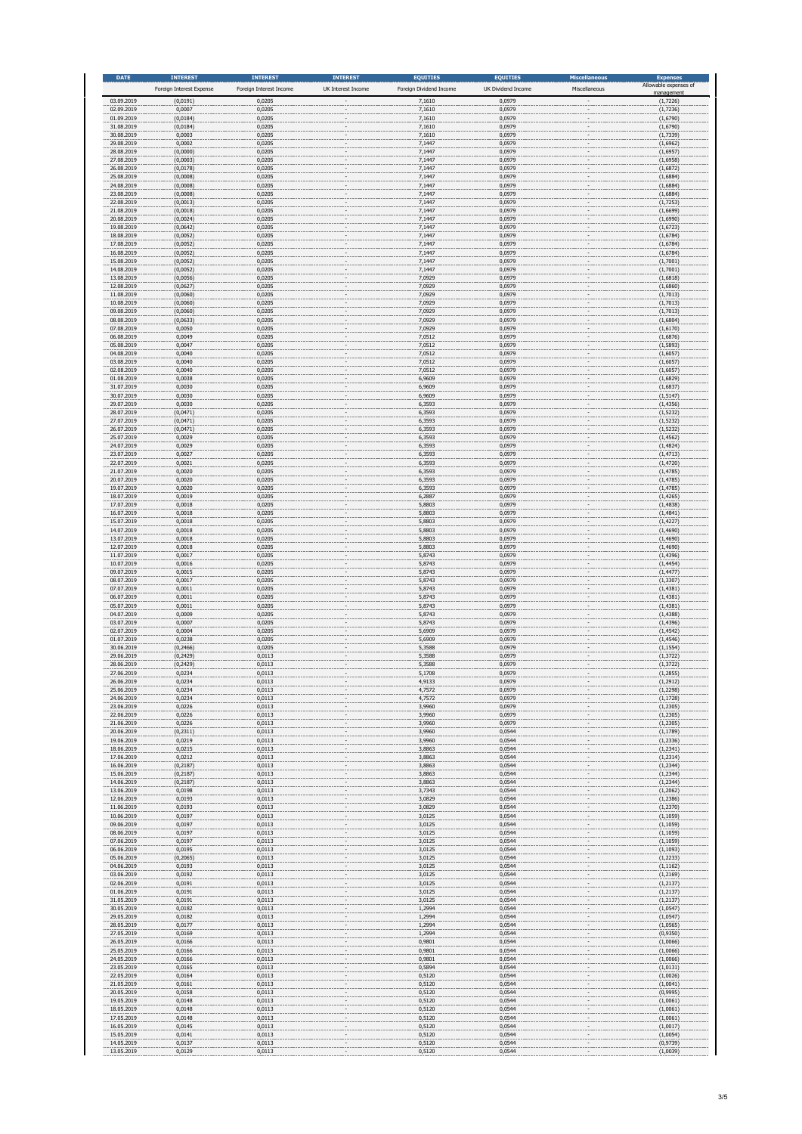| <b>DATE</b>              | <b>INTEREST</b><br>Foreign Interest Expense | <b>INTEREST</b><br>Foreign Interest Income | <b>INTEREST</b><br>UK Interest Income | <b>EQUITIES</b><br>Foreign Dividend Income | <b>EQUITIES</b><br>UK Dividend Income | <b>Miscellaneous</b><br>Miscellaneous | <b>Expenses</b><br>Allowable expenses of |
|--------------------------|---------------------------------------------|--------------------------------------------|---------------------------------------|--------------------------------------------|---------------------------------------|---------------------------------------|------------------------------------------|
| 03.09.2019               | (0,0191)                                    | 0,0205                                     |                                       | 7,1610                                     | 0,0979                                |                                       | nanagemer<br>(1,7226)                    |
| 02.09.2019<br>01.09.2019 | 0,0007<br>(0,0184)                          | 0,0205<br>0,0205                           |                                       | 7,1610<br>7,1610                           | 0,0979<br>0,0979                      |                                       | (1,7236)<br>(1,6790)                     |
| 31.08.2019               | (0,0184)                                    | 0,0205                                     |                                       | 7,1610                                     | 0,0979                                |                                       | (1,6790)                                 |
| 30.08.2019<br>29.08.2019 | 0,0003<br>0,0002                            | 0,0205<br>0,0205                           |                                       | 7,1610<br>7,1447                           | 0,0979<br>0,0979                      |                                       | (1,7339)<br>(1,6962)                     |
| 28.08.2019<br>27.08.2019 | (0,0000)<br>(0,0003)                        | 0,0205<br>0,0205                           |                                       | 7,1447<br>7,1447                           | 0,0979<br>0,0979                      |                                       | (1,6957)<br>(1,6958)                     |
| 26.08.2019               | (0,0178)                                    | 0,0205                                     |                                       | 7,1447                                     | 0,0979                                |                                       | (1,6872)                                 |
| 25.08.2019<br>24.08.2019 | (0,0008)<br>(0,0008)                        | 0,0205<br>0,0205                           |                                       | 7,1447<br>7,1447                           | 0,0979<br>0,0979                      |                                       | (1,6884)<br>(1,6884)                     |
| 23.08.2019<br>22.08.2019 | (0,0008)<br>(0,0013)                        | 0,0205<br>0,0205                           |                                       | 7,1447<br>7,1447                           | 0,0979<br>0,0979                      |                                       | (1,6884)<br>(1, 7253)                    |
| 21.08.2019<br>20.08.2019 | (0,0018)<br>(0,0024)                        | 0,0205<br>0,0205                           |                                       | 7,1447<br>7,1447                           | 0,0979<br>0,0979                      |                                       | (1,6699)<br>(1,6990)                     |
| 19.08.2019               | (0,0642)                                    | 0,0205                                     |                                       | 7,1447                                     | 0,0979                                |                                       | (1,6723)                                 |
| 18.08.2019<br>17.08.2019 | (0,0052)<br>(0,0052)                        | 0,0205<br>0,0205                           |                                       | 7,1447<br>7,1447                           | 0,0979<br>0,0979                      |                                       | (1,6784)<br>(1,6784)                     |
| 16.08.2019<br>15.08.2019 | (0,0052)<br>(0,0052)                        | 0,0205<br>0,0205                           |                                       | 7,1447<br>7,1447                           | 0,0979<br>0,0979                      |                                       | (1,6784)<br>(1,7001)                     |
| 14.08.2019<br>13.08.2019 | (0,0052)                                    | 0,0205<br>0,0205                           |                                       | 7,1447<br>7,0929                           | 0,0979<br>0,0979                      |                                       | (1,7001)                                 |
| 12.08.2019               | (0,0056)<br>(0,0627)                        | 0,0205                                     |                                       | 7,0929                                     | 0,0979                                |                                       | (1,6818)<br>(1,6860)                     |
| 11.08.2019<br>10.08.2019 | (0,0060)<br>(0,0060)                        | 0,0205<br>0,0205                           |                                       | 7,0929<br>7,0929                           | 0,0979<br>0,0979                      |                                       | (1,7013)<br>(1,7013)                     |
| 09.08.2019<br>08.08.2019 | (0,0060)<br>(0,0633)                        | 0,0205<br>0,0205                           |                                       | 7,0929<br>7,0929                           | 0,0979<br>0,0979                      |                                       | (1,7013)<br>(1,6804)                     |
| 07.08.2019               | 0,0050                                      | 0,0205                                     |                                       | 7,0929                                     | 0,0979                                |                                       | (1,6170)                                 |
| 06.08.2019<br>05.08.2019 | 0,0049<br>0,0047                            | 0,0205<br>0,0205                           |                                       | 7,0512<br>7,0512                           | 0,0979<br>0,0979                      |                                       | (1,6876)<br>(1, 5893)                    |
| 04.08.2019<br>03.08.2019 | 0,0040<br>0,0040                            | 0,0205<br>0,0205                           |                                       | 7,0512<br>7,0512                           | 0,0979<br>0,0979                      |                                       | (1,6057)<br>(1,6057)                     |
| 02.08.2019               | 0,0040                                      | 0,0205                                     |                                       | 7,0512                                     | 0,0979                                |                                       | (1,6057)                                 |
| 01.08.2019<br>31.07.2019 | 0,0038<br>0,0030                            | 0,0205<br>0,0205                           |                                       | 6,9609<br>6,9609                           | 0,0979<br>0,0979                      |                                       | (1,6829)<br>(1,6837)                     |
| 30.07.2019<br>29.07.2019 | 0,0030<br>0,0030                            | 0,0205<br>0,0205                           |                                       | 6,9609<br>6,3593                           | 0,0979<br>0,0979                      |                                       | (1, 5147)<br>(1, 4356)                   |
| 28.07.2019<br>27.07.2019 | (0,0471)<br>(0,0471)                        | 0,0205<br>0,0205                           |                                       | 6,3593<br>6,3593                           | 0,0979<br>0,0979                      |                                       | (1, 5232)<br>(1, 5232)                   |
| 26.07.2019               | (0,0471)                                    | 0,0205                                     |                                       | 6,3593                                     | 0,0979                                |                                       | (1, 5232)                                |
| 25.07.2019<br>24.07.2019 | 0,0029<br>0,0029                            | 0,0205<br>0,0205                           |                                       | 6,3593<br>6,3593                           | 0,0979<br>0,0979                      |                                       | (1, 4562)<br>(1, 4824)                   |
| 23.07.2019<br>22.07.2019 | 0,0027<br>0,0021                            | 0,0205<br>0,0205                           |                                       | 6,3593<br>6,3593                           | 0,0979<br>0,0979                      |                                       | (1, 4713)<br>(1, 4720)                   |
| 21.07.2019               | 0,0020                                      | 0,0205                                     |                                       | 6,3593                                     | 0,0979                                |                                       | (1, 4785)                                |
| 20.07.2019<br>19.07.2019 | 0,0020<br>0,0020                            | 0,0205<br>0,0205                           |                                       | 6,3593<br>6,3593                           | 0,0979<br>0,0979                      |                                       | (1,4785)<br>(1, 4785)                    |
| 18.07.2019<br>17.07.2019 | 0,0019<br>0,0018                            | 0,0205<br>0,0205                           |                                       | 6,2887<br>5,8803                           | 0,0979<br>0,0979                      |                                       | (1, 4265)<br>(1, 4838)                   |
| 16.07.2019<br>15.07.2019 | 0,0018<br>0,0018                            | 0,0205<br>0,0205                           |                                       | 5,8803<br>5,8803                           | 0,0979<br>0,0979                      |                                       | (1, 4841)<br>(1, 4227)                   |
| 14.07.2019               | 0,0018                                      | 0,0205                                     |                                       | 5,8803                                     | 0,0979                                |                                       | (1,4690)                                 |
| 13.07.2019<br>12.07.2019 | 0,0018<br>0,0018                            | 0,0205<br>0,0205                           |                                       | 5,8803<br>5,8803                           | 0,0979<br>0,0979                      |                                       | (1,4690)<br>(1,4690)                     |
| 11.07.2019<br>10.07.2019 | 0,0017<br>0,0016                            | 0,0205<br>0,0205                           |                                       | 5,8743<br>5,8743                           | 0,0979<br>0,0979                      |                                       | (1, 4396)<br>(1, 4454)                   |
| 09.07.2019               | 0,0015                                      | 0,0205                                     |                                       | 5,8743                                     | 0,0979                                |                                       | (1, 4477)                                |
| 08.07.2019<br>07.07.2019 | 0,0017<br>0,0011                            | 0,0205<br>0,0205                           |                                       | 5,8743<br>5,8743                           | 0,0979<br>0,0979                      |                                       | (1, 3307)<br>(1, 4381)                   |
| 06.07.2019<br>05.07.2019 | 0,0011<br>0,0011                            | 0,0205<br>0,0205                           |                                       | 5,8743<br>5,8743                           | 0,0979<br>0,0979                      |                                       | (1, 4381)<br>(1, 4381)                   |
| 04.07.2019<br>03.07.2019 | 0,0009<br>0,0007                            | 0,0205<br>0,0205                           |                                       | 5,8743<br>5,8743                           | 0,0979<br>0,0979                      |                                       | (1, 4388)<br>(1, 4396)                   |
| 02.07.2019               | 0,0004                                      | 0,0205                                     |                                       | 5,6909                                     | 0,0979                                |                                       | (1, 4542)                                |
| 01.07.2019<br>30.06.2019 | 0,0238<br>(0, 2466)                         | 0,0205<br>0,0205                           |                                       | 5,6909<br>5,3588                           | 0,0979<br>0,0979                      |                                       | (1, 4546)<br>(1, 1554)                   |
| 29.06.2019<br>28.06.2019 | (0, 2429)<br>(0, 2429)                      | 0,0113<br>0,0113                           |                                       | 5,3588<br>5,3588                           | 0,0979<br>0,0979                      |                                       | (1, 3722)<br>(1, 3722)                   |
| 27.06.2019               | 0,0234                                      | 0,0113                                     |                                       | 5,1708                                     | 0,0979                                |                                       | (1, 2855)                                |
| 26.06.2019<br>25.06.2019 | 0,0234<br>0,0234                            | 0,0113<br>0,0113                           |                                       | 4,9133<br>4,7572                           | 0,0979<br>0,0979                      |                                       | (1, 2912)<br>(1, 2298)                   |
| 24.06.2019<br>23.06.2019 | 0,0234<br>0,0226                            | 0,0113<br>0,0113                           |                                       | 4,7572<br>3,9960                           | 0,0979<br>0,0979                      |                                       | (1, 1728)<br>(1, 2305)                   |
| 22.06.2019<br>21.06.2019 | 0,0226<br>0,0226                            | 0,0113<br>0,0113                           |                                       | 3,9960<br>3,9960                           | 0,0979<br>0,0979                      |                                       | (1, 2305)<br>(1, 2305)                   |
| 20.06.2019               | (0, 2311)                                   | 0,0113                                     |                                       | 3,9960                                     | 0,0544                                |                                       | (1, 1789)                                |
| 19.06.2019<br>18.06.2019 | 0,0219<br>0,0215                            | 0,0113<br>0,0113                           |                                       | 3,9960<br>3,8863                           | 0,0544<br>0,0544                      |                                       | (1, 2336)<br>(1, 2341)                   |
| 17.06.2019<br>16.06.2019 | 0,0212<br>(0, 2187)                         | 0,0113<br>0,0113                           |                                       | 3,8863<br>3,8863                           | 0,0544<br>0,0544                      |                                       | (1, 2314)<br>(1, 2344)                   |
| 15.06.2019               | (0, 2187)                                   | 0,0113                                     |                                       | 3,8863                                     | 0,0544                                |                                       | (1, 2344)                                |
| 14.06.2019<br>13.06.2019 | (0, 2187)<br>0,0198                         | 0,0113<br>0,0113                           |                                       | 3,8863<br>3,7343                           | 0,0544<br>0,0544                      |                                       | (1, 2344)<br>(1,2062)                    |
| 12.06.2019<br>11.06.2019 | 0,0193<br>0,0193                            | 0,0113<br>0,0113                           |                                       | 3,0829<br>3,0829                           | 0,0544<br>0,0544                      |                                       | (1, 2386)<br>(1, 2370)                   |
| 10.06.2019<br>09.06.2019 | 0,0197                                      | 0,0113                                     |                                       | 3,0125<br>3,0125                           | 0,0544<br>0,0544                      |                                       | (1, 1059)<br>(1, 1059)                   |
| 08.06.2019               | 0,0197<br>0,0197                            | 0,0113<br>0,0113                           |                                       | 3,0125                                     | 0,0544                                |                                       | (1, 1059)                                |
| 07.06.2019<br>06.06.2019 | 0,0197<br>0,0195                            | 0,0113<br>0,0113                           |                                       | 3,0125<br>3,0125                           | 0,0544<br>0,0544                      |                                       | (1, 1059)<br>(1, 1093)                   |
| 05.06.2019<br>04.06.2019 | (0, 2065)<br>0,0193                         | 0,0113<br>0,0113                           |                                       | 3,0125<br>3,0125                           | 0,0544<br>0,0544                      |                                       | (1, 2233)<br>(1, 1162)                   |
| 03.06.2019               | 0,0192                                      | 0,0113                                     |                                       | 3,0125                                     | 0,0544                                |                                       | (1, 2169)                                |
| 02.06.2019<br>01.06.2019 | 0,0191<br>0,0191                            | 0,0113<br>0,0113                           |                                       | 3,0125<br>3,0125                           | 0,0544<br>0,0544                      |                                       | (1, 2137)<br>(1, 2137)                   |
| 31.05.2019<br>30.05.2019 | 0,0191<br>0,0182                            | 0,0113<br>0,0113                           |                                       | 3,0125<br>1,2994                           | 0,0544<br>0,0544                      |                                       | (1, 2137)<br>(1,0547)                    |
| 29.05.2019               | 0,0182                                      | 0,0113                                     |                                       | 1,2994                                     | 0,0544                                |                                       | (1,0547)                                 |
| 28.05.2019<br>27.05.2019 | 0,0177<br>0,0169                            | 0,0113<br>0,0113                           |                                       | 1,2994<br>1,2994                           | 0,0544<br>0,0544                      |                                       | (1,0565)<br>(0,9350)                     |
| 26.05.2019<br>25.05.2019 | 0,0166<br>0,0166                            | 0,0113<br>0,0113                           |                                       | 0,9801<br>0,9801                           | 0,0544<br>0,0544                      |                                       | (1,0066)<br>(1,0066)                     |
| 24.05.2019<br>23.05.2019 | 0,0166<br>0,0165                            | 0,0113<br>0,0113                           |                                       | 0,9801<br>0,5894                           | 0,0544<br>0,0544                      |                                       | (1,0066)<br>(1,0131)                     |
| 22.05.2019               | 0,0164                                      | 0,0113                                     |                                       | 0,5120                                     | 0,0544                                |                                       | (1,0026)                                 |
| 21.05.2019<br>20.05.2019 | 0,0161<br>0,0158                            | 0,0113<br>0,0113                           |                                       | 0,5120<br>0,5120                           | 0,0544<br>0,0544                      |                                       | (1,0041)<br>(0,9995)                     |
| 19.05.2019<br>18.05.2019 | 0,0148<br>0,0148                            | 0,0113<br>0,0113                           |                                       | 0,5120<br>0,5120                           | 0,0544<br>0,0544                      |                                       | (1,0061)<br>(1,0061)                     |
| 17.05.2019               | 0,0148                                      | 0,0113                                     |                                       | 0,5120                                     | 0,0544                                |                                       | (1,0061)                                 |
| 16.05.2019<br>15.05.2019 | 0,0145<br>0,0141                            | 0,0113<br>0,0113                           |                                       | 0,5120<br>0,5120                           | 0,0544<br>0,0544                      |                                       | (1,0017)<br>(1,0054)                     |
| 14.05.2019<br>13.05.2019 | 0,0137<br>0.0129                            | 0,0113<br>0.0113                           |                                       | 0,5120<br>0.5120                           | 0,0544<br>0.0544                      |                                       | (0, 9739)<br>(1.0039)                    |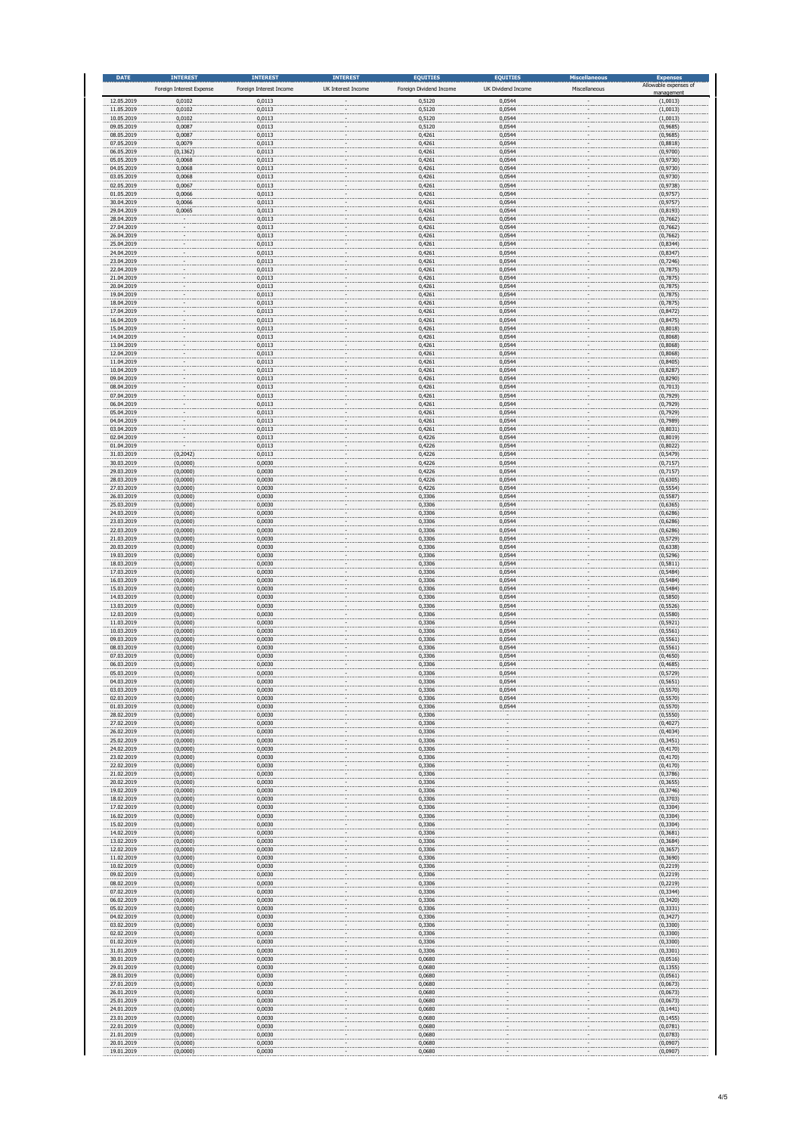| <b>DATE</b>              | <b>INTEREST</b>                    | <b>INTEREST</b>                   | <b>INTEREST</b>    | <b>EQUITIES</b>                   | <b>EQUITIES</b>              | <b>Miscellaneous</b> | <b>Expenses</b><br>Allowable expenses of |
|--------------------------|------------------------------------|-----------------------------------|--------------------|-----------------------------------|------------------------------|----------------------|------------------------------------------|
| 12.05.2019               | Foreign Interest Expense<br>0,0102 | Foreign Interest Income<br>0,0113 | UK Interest Income | Foreign Dividend Income<br>0,5120 | UK Dividend Income<br>0,0544 | Miscellaneous        | nanageme<br>(1,0013)                     |
| 11.05.2019               | 0,0102                             | 0,0113                            |                    | 0,5120                            | 0,0544                       |                      | (1,0013)                                 |
| 10.05.2019<br>09.05.2019 | 0,0102<br>0,0087                   | 0,0113<br>0,0113                  |                    | 0,5120<br>0,5120                  | 0,0544<br>0,0544             |                      | (1,0013)<br>(0,9685)                     |
| 08.05.2019               | 0,0087                             | 0,0113                            |                    | 0,4261                            | 0,0544                       |                      | (0,9685)                                 |
| 07.05.2019<br>06.05.2019 | 0,0079<br>(0, 1362)                | 0,0113<br>0,0113                  |                    | 0,4261<br>0,4261                  | 0,0544<br>0,0544             |                      | (0,8818)<br>(0,9700)                     |
| 05.05.2019<br>04.05.2019 | 0,0068<br>0,0068                   | 0,0113<br>0,0113                  |                    | 0,4261<br>0,4261                  | 0,0544<br>0,0544             |                      | (0,9730)<br>(0,9730)                     |
| 03.05.2019               | 0,0068                             | 0,0113                            |                    | 0,4261                            | 0,0544                       |                      | (0,9730)                                 |
| 02.05.2019<br>01.05.2019 | 0,0067<br>0,0066                   | 0,0113<br>0,0113                  |                    | 0,4261<br>0,4261                  | 0,0544<br>0,0544             |                      | (0,9738)<br>(0, 9757)                    |
| 30.04.2019               | 0,0066                             | 0,0113                            |                    | 0,4261                            | 0,0544                       |                      | (0, 9757)                                |
| 29.04.2019<br>28.04.2019 | 0,0065                             | 0,0113<br>0,0113                  |                    | 0,4261<br>0,4261                  | 0,0544<br>0,0544             |                      | (0, 8193)<br>(0,7662)                    |
| 27.04.2019<br>26.04.2019 |                                    | 0,0113<br>0,0113                  |                    | 0,4261<br>0,4261                  | 0,0544<br>0,0544             |                      | (0,7662)<br>(0,7662)                     |
| 25.04.2019               |                                    | 0,0113                            |                    | 0,4261                            | 0,0544                       |                      | (0,8344)                                 |
| 24.04.2019<br>23.04.2019 |                                    | 0,0113<br>0,0113                  |                    | 0,4261<br>0,4261                  | 0,0544<br>0,0544             |                      | (0,8347)<br>(0,7246)                     |
| 22.04.2019               |                                    | 0,0113                            |                    | 0,4261                            | 0,0544                       |                      | (0,7875)                                 |
| 21.04.2019<br>20.04.2019 |                                    | 0,0113<br>0,0113                  |                    | 0,4261<br>0,4261                  | 0,0544<br>0,0544             |                      | (0,7875)<br>(0,7875)                     |
| 19.04.2019<br>18.04.2019 |                                    | 0,0113<br>0,0113                  |                    | 0,4261<br>0,4261                  | 0,0544<br>0,0544             |                      | (0,7875)<br>(0,7875)                     |
| 17.04.2019               |                                    | 0,0113                            |                    | 0,4261                            | 0,0544                       |                      | (0,8472)                                 |
| 16.04.2019<br>15.04.2019 |                                    | 0,0113<br>0,0113                  |                    | 0,4261<br>0,4261                  | 0,0544<br>0,0544             |                      | (0, 8475)<br>(0,8018)                    |
| 14.04.2019               |                                    | 0,0113                            |                    | 0,4261                            | 0,0544                       |                      | (0,8068)                                 |
| 13.04.2019<br>12.04.2019 |                                    | 0,0113<br>0,0113                  |                    | 0,4261<br>0,4261                  | 0,0544<br>0,0544             |                      | (0,8068)<br>(0,8068)                     |
| 11.04.2019<br>10.04.2019 |                                    | 0,0113<br>0,0113                  |                    | 0,4261<br>0,4261                  | 0,0544<br>0,0544             |                      | (0,8405)<br>(0,8287)                     |
| 09.04.2019               |                                    | 0,0113                            |                    | 0,4261                            | 0,0544                       |                      | (0,8290)                                 |
| 08.04.2019<br>07.04.2019 |                                    | 0,0113<br>0,0113                  |                    | 0,4261<br>0,4261                  | 0,0544<br>0,0544             |                      | (0,7013)<br>(0,7929)                     |
| 06.04.2019               |                                    | 0,0113                            |                    | 0,4261                            | 0,0544                       |                      | (0,7929)                                 |
| 05.04.2019<br>04.04.2019 |                                    | 0,0113<br>0,0113                  |                    | 0,4261<br>0,4261                  | 0,0544<br>0,0544             |                      | (0,7929)<br>(0,7989)                     |
| 03.04.2019<br>02.04.2019 |                                    | 0,0113<br>0,0113                  |                    | 0,4261<br>0,4226                  | 0,0544<br>0,0544             |                      | (0,8031)<br>(0,8019)                     |
| 01.04.2019               |                                    | 0,0113                            |                    | 0,4226                            | 0,0544                       |                      | (0,8022)                                 |
| 31.03.2019<br>30.03.2019 | (0, 2042)<br>(0,0000)              | 0,0113<br>0,0030                  |                    | 0,4226<br>0,4226                  | 0,0544<br>0,0544             |                      | (0, 5479)<br>(0,7157)                    |
| 29.03.2019               | (0,0000)                           | 0,0030                            |                    | 0,4226                            | 0,0544                       |                      | (0,7157)                                 |
| 28.03.2019<br>27.03.2019 | (0,0000)<br>(0,0000)               | 0,0030<br>0,0030                  |                    | 0,4226<br>0,4226                  | 0,0544<br>0,0544             |                      | (0,6305)<br>(0, 5554)                    |
| 26.03.2019<br>25.03.2019 | (0,0000)                           | 0,0030<br>0,0030                  |                    | 0,3306<br>0,3306                  | 0,0544<br>0,0544             |                      | (0, 5587)                                |
| 24.03.2019               | (0,0000)<br>(0,0000)               | 0,0030                            |                    | 0,3306                            | 0,0544                       |                      | (0,6365)<br>(0,6286)                     |
| 23.03.2019<br>22.03.2019 | (0,0000)<br>(0,0000)               | 0,0030<br>0,0030                  |                    | 0,3306<br>0,3306                  | 0,0544<br>0,0544             |                      | (0,6286)<br>(0,6286)                     |
| 21.03.2019               | (0,0000)                           | 0,0030                            |                    | 0,3306                            | 0,0544                       |                      | (0, 5729)                                |
| 20.03.2019<br>19.03.2019 | (0,0000)<br>(0,0000)               | 0,0030<br>0,0030                  |                    | 0,3306<br>0,3306                  | 0,0544<br>0,0544             |                      | (0,6338)<br>(0, 5296)                    |
| 18.03.2019<br>17.03.2019 | (0,0000)<br>(0,0000)               | 0,0030<br>0,0030                  |                    | 0,3306<br>0,3306                  | 0,0544<br>0,0544             |                      | (0, 5811)<br>(0, 5484)                   |
| 16.03.2019               | (0,0000)                           | 0,0030                            |                    | 0,3306                            | 0,0544                       |                      | (0, 5484)                                |
| 15.03.2019<br>14.03.2019 | (0,0000)<br>(0,0000)               | 0,0030<br>0,0030                  |                    | 0,3306<br>0,3306                  | 0,0544<br>0,0544             |                      | (0, 5484)<br>(0, 5850)                   |
| 13.03.2019               | (0,0000)                           | 0,0030                            |                    | 0,3306                            | 0,0544                       |                      | (0, 5526)                                |
| 12.03.2019<br>11.03.2019 | (0,0000)<br>(0,0000)               | 0,0030<br>0,0030                  |                    | 0,3306<br>0,3306                  | 0,0544<br>0,0544             |                      | (0, 5580)<br>(0, 5921)                   |
| 10.03.2019<br>09.03.2019 | (0,0000)<br>(0,0000)               | 0,0030<br>0,0030                  |                    | 0,3306<br>0,3306                  | 0,0544<br>0,0544             |                      | (0, 5561)<br>(0, 5561)                   |
| 08.03.2019               | (0,0000)                           | 0,0030                            |                    | 0,3306                            | 0,0544                       |                      | (0, 5561)                                |
| 07.03.2019<br>06.03.2019 | (0,0000)<br>(0,0000)               | 0,0030<br>0,0030                  |                    | 0,3306<br>0,3306                  | 0,0544<br>0,0544             |                      | (0,4650)<br>(0, 4685)                    |
| 05.03.2019               | (0,0000)                           | 0,0030                            |                    | 0,3306                            | 0,0544                       |                      | (0,5729)                                 |
| 04.03.2019<br>03.03.2019 | (0,0000)<br>(0,0000)               | 0,0030<br>0,0030                  |                    | 0,3306<br>0,3306                  | 0,0544<br>0,0544             |                      | (0, 5651)<br>(0, 5570)                   |
| 02.03.2019<br>01.03.2019 | (0,0000)<br>(0,0000)               | 0,0030<br>0,0030                  |                    | 0,3306<br>0,3306                  | 0,0544<br>0,0544             |                      | (0, 5570)<br>(0, 5570)                   |
| 28.02.2019               | (0,0000)                           | 0,0030                            |                    | 0,3306                            |                              |                      | (0, 5550)                                |
| 27.02.2019<br>26.02.2019 | (0,0000)<br>(0,0000)               | 0,0030<br>0,0030                  |                    | 0,3306<br>0,3306                  |                              |                      | (0,4027)<br>(0,4034)                     |
| 25.02.2019               | (0,0000)                           | 0,0030                            |                    | 0,3306                            |                              |                      | (0, 3451)                                |
| 24.02.2019<br>23.02.2019 | (0,0000)<br>(0,0000)               | 0,0030<br>0,0030                  |                    | 0,3306<br>0,3306                  |                              |                      | (0, 4170)<br>(0, 4170)                   |
| 22.02.2019<br>21.02.2019 | (0,0000)<br>(0,0000)               | 0,0030<br>0,0030                  |                    | 0,3306<br>0,3306                  |                              |                      | (0, 4170)<br>(0, 3786)                   |
| 20.02.2019               | (0,0000)                           | 0,0030                            |                    | 0,3306                            |                              |                      | (0, 3655)                                |
| 19.02.2019<br>18.02.2019 | (0,0000)<br>(0,0000)               | 0,0030<br>0,0030                  |                    | 0,3306<br>0,3306                  |                              |                      | (0, 3746)<br>(0, 3703)                   |
| 17.02.2019<br>16.02.2019 | (0,0000)                           | 0,0030                            |                    | 0,3306                            |                              |                      | (0, 3304)                                |
| 15.02.2019               | (0,0000)<br>(0,0000)               | 0,0030<br>0,0030                  |                    | 0,3306<br>0,3306                  |                              |                      | (0, 3304)<br>(0, 3304)                   |
| 14.02.2019<br>13.02.2019 | (0,0000)<br>(0,0000)               | 0,0030<br>0,0030                  |                    | 0,3306<br>0,3306                  |                              |                      | (0, 3681)<br>(0, 3684)                   |
| 12.02.2019               | (0,0000)                           | 0,0030                            |                    | 0,3306                            |                              |                      | (0, 3657)                                |
| 11.02.2019<br>10.02.2019 | (0,0000)<br>(0,0000)               | 0,0030<br>0,0030                  |                    | 0,3306<br>0,3306                  |                              |                      | (0, 3690)<br>(0, 2219)                   |
| 09.02.2019               | (0,0000)                           | 0,0030                            |                    | 0,3306                            |                              |                      | (0, 2219)                                |
| 08.02.2019<br>07.02.2019 | (0,0000)<br>(0,0000)               | 0,0030<br>0,0030                  |                    | 0,3306<br>0,3306                  |                              |                      | (0, 2219)<br>(0, 3344)                   |
| 06.02.2019<br>05.02.2019 | (0,0000)<br>(0,0000)               | 0,0030<br>0,0030                  |                    | 0,3306<br>0,3306                  |                              |                      | (0, 3420)<br>(0, 3331)                   |
| 04.02.2019               | (0,0000)                           | 0,0030                            |                    | 0,3306                            |                              |                      | (0, 3427)                                |
| 03.02.2019<br>02.02.2019 | (0,0000)<br>(0,0000)               | 0,0030<br>0,0030                  |                    | 0,3306<br>0,3306                  |                              |                      | (0, 3300)<br>(0, 3300)                   |
| 01.02.2019               | (0,0000)                           | 0,0030                            |                    | 0,3306                            |                              |                      | (0, 3300)                                |
| 31.01.2019<br>30.01.2019 | (0,0000)<br>(0,0000)               | 0,0030<br>0,0030                  |                    | 0,3306<br>0,0680                  |                              |                      | (0, 3301)<br>(0,0516)                    |
| 29.01.2019<br>28.01.2019 | (0,0000)<br>(0,0000)               | 0,0030<br>0,0030                  |                    | 0,0680<br>0,0680                  |                              |                      | (0, 1355)<br>(0,0561)                    |
| 27.01.2019               | (0,0000)                           | 0,0030                            |                    | 0,0680                            |                              |                      | (0,0673)                                 |
| 26.01.2019<br>25.01.2019 | (0,0000)<br>(0,0000)               | 0,0030<br>0,0030                  |                    | 0,0680<br>0,0680                  |                              |                      | (0,0673)<br>(0,0673)                     |
| 24.01.2019               | (0,0000)                           | 0,0030                            |                    | 0,0680                            |                              |                      | (0, 1441)                                |
| 23.01.2019<br>22.01.2019 | (0,0000)<br>(0,0000)               | 0,0030<br>0,0030                  |                    | 0,0680<br>0,0680                  |                              |                      | (0, 1455)<br>(0,0781)                    |
| 21.01.2019               | (0,0000)                           | 0,0030                            |                    | 0,0680<br>0,0680                  |                              |                      | (0,0783)                                 |
| 20.01.2019<br>19.01.2019 | (0,0000)<br>(0.0000)               | 0,0030<br>0.0030                  |                    | 0.0680                            |                              |                      | (0,0907)<br>(0.0907)                     |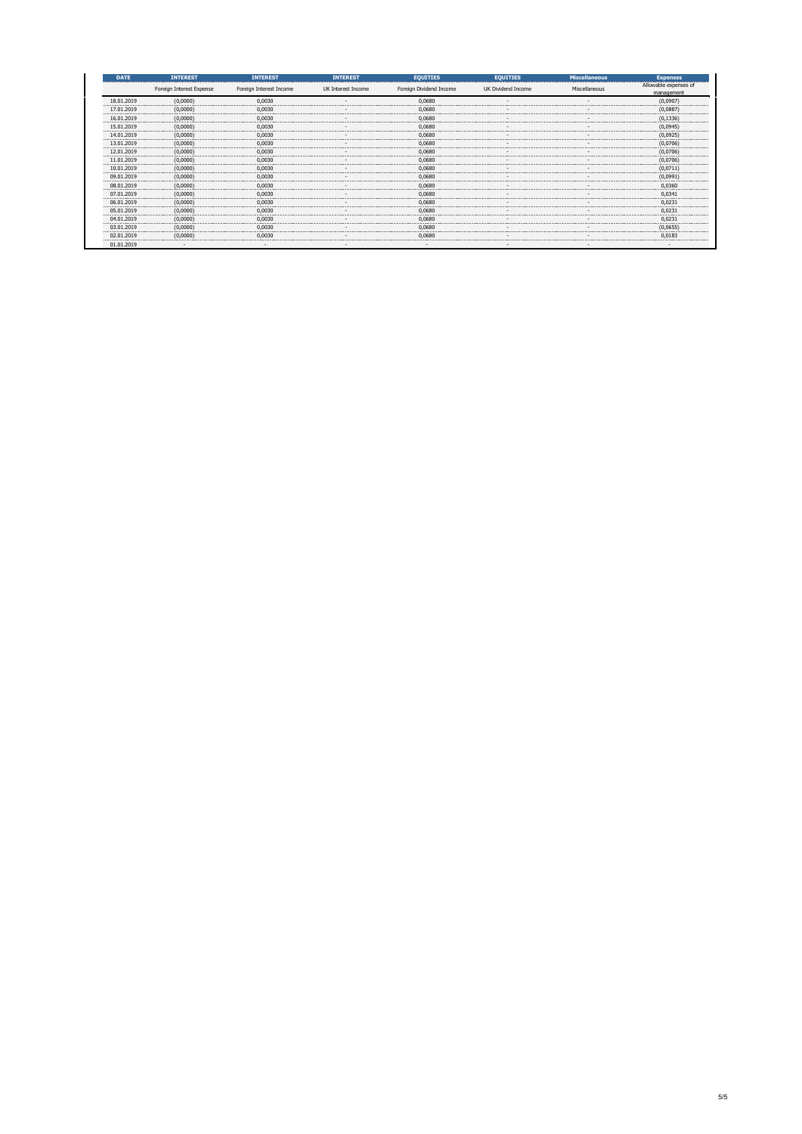| <b>DATE</b> | <b>INTEREST</b>          | <b>INTEREST</b>         | <b>INTEREST</b>    | <b>EQUITIES</b>         | <b>EQUITIES</b>    | <b>Miscellaneous</b> | <b>Expenses</b>                    |
|-------------|--------------------------|-------------------------|--------------------|-------------------------|--------------------|----------------------|------------------------------------|
|             | Foreign Interest Expense | Foreign Interest Income | UK Interest Income | Foreign Dividend Income | UK Dividend Income | Miscellaneous        | Allowable expenses of<br>managemen |
| 18.01.2019  | (0.0000)                 | 0.0030                  |                    | 0.0680                  |                    |                      | (0.0907                            |
| 17.01.2019  | (0.0000)                 | 0.0030                  |                    | 0.068                   |                    |                      | (0.0887                            |
| 16.01.2019  | (0,0000)                 | 0,0030                  |                    | 0,0680                  |                    |                      | (0, 1336)                          |
| 15.01.201   | (0,0000)                 | 0.0030                  |                    | 0.068                   |                    |                      | (0,0945                            |
| 14.01.201   | (0,0000)                 | 0.0030                  |                    | 0.0680                  |                    |                      | (0.0925)                           |
| 13.01.2019  | (0.0000)                 | 0.0030                  |                    | 0.0680                  |                    |                      | (0.0706                            |
| 12.01.201   | (0.0000)                 | 0.0030                  |                    | 0.068                   |                    |                      | (0.0706)                           |
| 11.01.2019  | (0,0000)                 | 0,0030                  |                    | 0,0680                  |                    |                      | (0,0706)                           |
| 10.01.2019  | (0,0000)                 | 0.0030                  |                    | 0.068                   |                    |                      |                                    |
| 09.01.201   | (0,0000)                 | n nnar                  |                    | 0.068                   |                    |                      | (0.0991                            |
| 08 01 201   | (0.0000                  | 0.0030                  |                    | 0.0680                  |                    |                      | 0.0360                             |
| 07.01.2019  | (0.0000)                 | 0.0030                  |                    | 0.068                   |                    |                      | 0.034                              |
| 06.01.2019  | (0,0000)                 | 0,0030                  |                    | 0,0680                  |                    |                      | 0.0231                             |
| 05.01.201   | (0,0000)                 | 0,0030                  |                    | 0.068                   |                    |                      | 0.023                              |
|             | (0.0000)                 | n nnar                  |                    | 0.068                   |                    |                      | 0.023                              |
|             | (0.0000)                 | 0.0030                  |                    | 0.0680                  |                    |                      | (0.0655)                           |
| 02.01.201   | (0.0000)                 | 0.0030                  |                    | 0.068                   |                    |                      | $0.018$ <sup>3</sup>               |
| 01.01.2019  |                          |                         |                    |                         |                    |                      |                                    |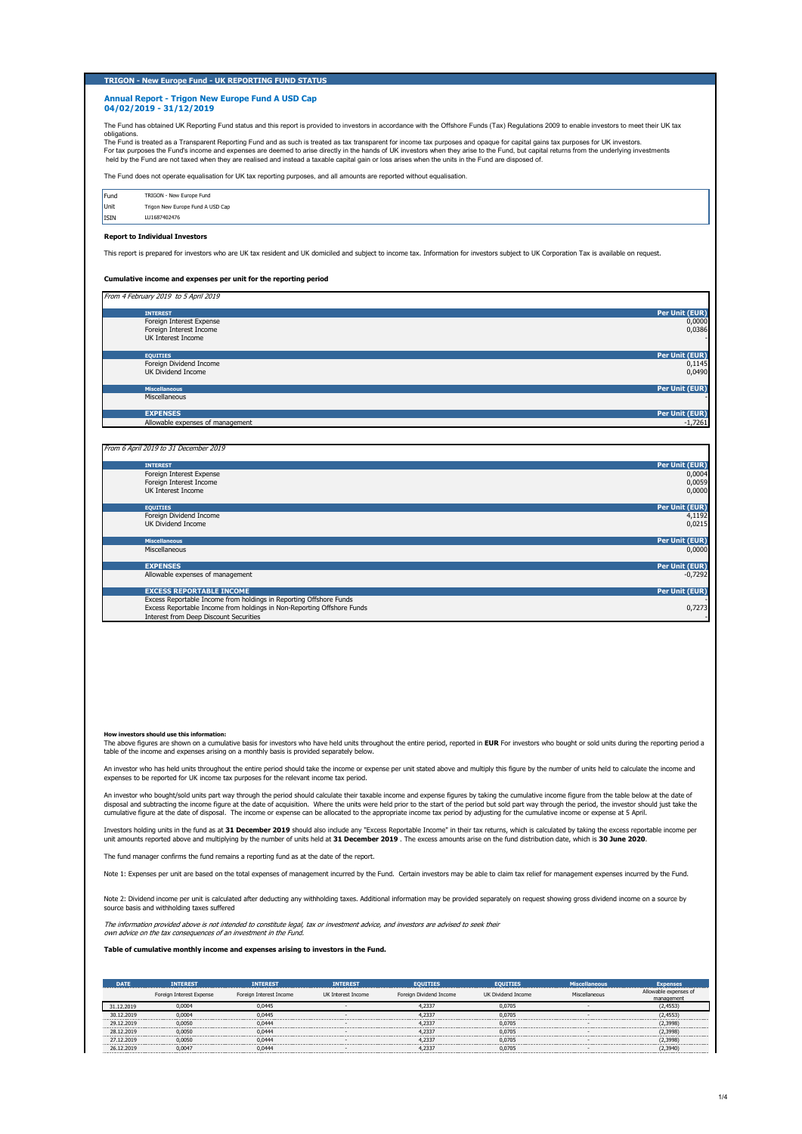# **TRIGON - New Europe Fund - UK REPORTING FUND STATUS**

#### **Annual Report - Trigon New Europe Fund A USD Cap 04/02/2019 - 31/12/2019**

The Fund has obtained UK Reporting Fund status and this report is provided to investors in accordance with the Offshore Funds (Tax) Regulations 2009 to enable investors to meet their UK tax

obligations.<br>The Fund is treated as a Transparent Reporting Fund and as such is treated as tax transparent for income tax purposes and opaque for capital gains tax purposes for UK investors.<br>For tax purposes the Fund's inc

The Fund does not operate equalisation for UK tax reporting purposes, and all amounts are reported without equalisation.

| Fund        | TRIGON - New Europe Fund         |
|-------------|----------------------------------|
| Unit        | Trigon New Europe Fund A USD Cap |
| <b>ISIN</b> | LU1687402476                     |

### **Report to Individual Investors**

This report is prepared for investors who are UK tax resident and UK domiciled and subject to income tax. Information for investors subject to UK Corporation Tax is available on request.

## **Cumulative income and expenses per unit for the reporting period**

| From 4 February 2019 to 5 April 2019 |                |
|--------------------------------------|----------------|
| <b>INTEREST</b>                      | Per Unit (EUR) |
| Foreign Interest Expense             | 0,0000         |
| Foreign Interest Income              | 0,0386         |
| UK Interest Income                   |                |
|                                      |                |
| <b>EQUITIES</b>                      | Per Unit (EUR) |
| Foreign Dividend Income              | 0,1145         |
| <b>UK Dividend Income</b>            | 0,0490         |
|                                      |                |
| <b>Miscellaneous</b>                 | Per Unit (EUR) |
| Miscellaneous                        |                |
|                                      |                |
| <b>EXPENSES</b>                      | Per Unit (EUR) |
| Allowable expenses of management     | $-1,7261$      |
|                                      |                |

### From 6 April 2019 to 31 December 2019

| <b>INTEREST</b>                                                        | Per Unit (EUR)        |
|------------------------------------------------------------------------|-----------------------|
| Foreign Interest Expense                                               | 0,0004                |
| Foreign Interest Income                                                | 0,0059                |
| UK Interest Income                                                     | 0,0000                |
|                                                                        |                       |
| <b>EQUITIES</b>                                                        | Per Unit (EUR)        |
| Foreign Dividend Income                                                | 4,1192                |
| <b>UK Dividend Income</b>                                              | 0.0215                |
|                                                                        |                       |
| <b>Miscellaneous</b>                                                   | Per Unit (EUR)        |
| Miscellaneous                                                          | 0,0000                |
|                                                                        |                       |
| <b>EXPENSES</b>                                                        | Per Unit (EUR)        |
| Allowable expenses of management                                       | $-0,7292$             |
|                                                                        |                       |
| <b>EXCESS REPORTABLE INCOME</b>                                        | <b>Per Unit (EUR)</b> |
| Excess Reportable Income from holdings in Reporting Offshore Funds     |                       |
| Excess Reportable Income from holdings in Non-Reporting Offshore Funds | 0,7273                |
| <b>Interest from Deep Discount Securities</b>                          |                       |

#### **How investors should use this information:**

The above figures are shown on a cumulative basis for investors who have held units throughout the entire period, reported in **EUR** For investors who bought or sold units during the reporting period a table of the income and expenses arising on a monthly basis is provided separately below.

An investor who has held units throughout the entire period should take the income or expense per unit stated above and multiply this figure by the number of units held to calculate the income and expenses to be reported for UK income tax purposes for the relevant income tax period.

An investor who bought/sold units part way through the period should calculate their taxable income and expense figures by taking the cumulative income figure from the table below at the date of disposal and subtracting the income figure at the date of acquisition. Where the units were held prior to the start of the period but sold part way through the period, the investor should just take the<br>cumulative figure at

Investors holding units in the fund as at **31 December 2019** should also include any "Excess Reportable Income" in their tax returns, which is calculated by taking the excess reportable income per<br>unit amounts reported abo

The fund manager confirms the fund remains a reporting fund as at the date of the report.

Note 1: Expenses per unit are based on the total expenses of management incurred by the Fund. Certain investors may be able to claim tax relief for management expenses incurred by the Fund.

Note 2: Dividend income per unit is calculated after deducting any withholding taxes. Additional information may be provided separately on request showing gross dividend income on a source by source basis and withholding taxes suffered

The information provided above is not intended to constitute legal, tax or investment advice, and investors are advised to seek their own advice on the tax consequences of an investment in the Fund.

## **Table of cumulative monthly income and expenses arising to investors in the Fund.**

| <b>DATE</b> | <b>INTEREST</b>          | <b>INTEREST</b>         | <b>INTEREST</b>    | <b>EQUITIES</b>         | <b>EQUITIES</b>    | <b>Miscellaneous</b> | <b>Expenses</b>       |
|-------------|--------------------------|-------------------------|--------------------|-------------------------|--------------------|----------------------|-----------------------|
|             | Foreign Interest Expense | Foreign Interest Income | UK Interest Income | Foreign Dividend Income | UK Dividend Income | Miscellaneous        | Allowable expenses of |
|             |                          |                         |                    |                         |                    |                      | management            |
| 31.12.2019  | 0.0004                   | 0.0445                  |                    | 4.2337                  | 0.0705             |                      | (2,4553)              |
| 30.12.2019  | 0.0004                   | 0.0445                  |                    | 4,2337                  | 0.0705             |                      | (2.4553)              |
| 29.12.2019  | 0.0050                   | 0.0444                  |                    | 4.2337                  | 0.0705             |                      | (2.3998)              |
| 28.12.2019  | 0.0050                   | 0.0444                  |                    | 4.2337                  | 0.0705             |                      | (2.3998)              |
| 27.12.2019  | 0.0050                   | 0.0444                  |                    | 4.2337                  | 0.0705             |                      | (2.3998)              |
| 26.12.2019  | 0.0047                   | 0.0444                  |                    | 4.2337                  | 0.0705             |                      | (2, 3940)             |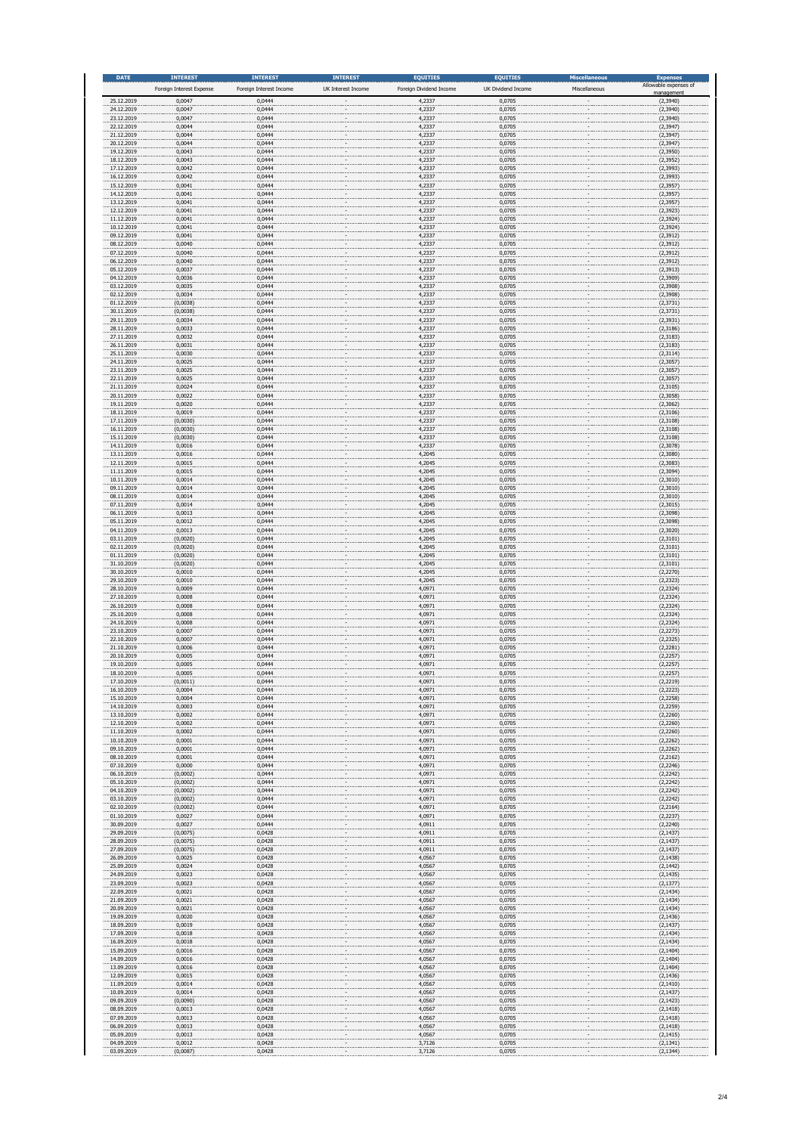| <b>DATE</b>              | <b>INTEREST</b><br>Foreign Interest Expense | <b>INTEREST</b><br>Foreign Interest Income | <b>INTEREST</b><br>UK Interest Income | <b>EQUITIES</b><br>Foreign Dividend Income | <b>EQUITIES</b><br>UK Dividend Income | <b>Miscellaneous</b><br>Miscellaneous | <b>Expenses</b><br>Allowable expenses of |
|--------------------------|---------------------------------------------|--------------------------------------------|---------------------------------------|--------------------------------------------|---------------------------------------|---------------------------------------|------------------------------------------|
| 25.12.2019               | 0,0047                                      | 0,0444                                     |                                       | 4,2337                                     | 0,0705                                |                                       | nanageme<br>(2, 3940)                    |
| 24.12.2019<br>23.12.2019 | 0,0047<br>0,0047                            | 0,0444<br>0,0444                           |                                       | 4,2337<br>4,2337                           | 0,0705<br>0,0705                      |                                       | (2, 3940)<br>(2,3940)                    |
| 22.12.2019<br>21.12.2019 | 0,0044<br>0,0044                            | 0,0444<br>0,0444                           |                                       | 4,2337<br>4,2337                           | 0,0705<br>0,0705                      |                                       | (2, 3947)<br>(2, 3947)                   |
| 20.12.2019<br>19.12.2019 | 0,0044<br>0,0043                            | 0,0444                                     |                                       | 4,2337<br>4,2337                           | 0,0705<br>0,0705                      |                                       | (2, 3947)                                |
| 18.12.2019               | 0,0043                                      | 0,0444<br>0,0444                           |                                       | 4,2337                                     | 0,0705                                |                                       | (2,3950)<br>(2, 3952)                    |
| 17.12.2019<br>16.12.2019 | 0,0042<br>0,0042                            | 0,0444<br>0,0444                           |                                       | 4,2337<br>4,2337                           | 0,0705<br>0,0705                      |                                       | (2, 3993)<br>(2, 3993)                   |
| 15.12.2019<br>14.12.2019 | 0,0041<br>0,0041                            | 0,0444<br>0,0444                           |                                       | 4,2337<br>4,2337                           | 0,0705<br>0,0705                      |                                       | (2, 3957)<br>(2, 3957)                   |
| 13.12.2019<br>12.12.2019 | 0,0041                                      | 0,0444<br>0,0444                           |                                       | 4,2337                                     | 0,0705                                |                                       | (2, 3957)                                |
| 11.12.2019               | 0,0041<br>0,0041                            | 0,0444                                     |                                       | 4,2337<br>4,2337                           | 0,0705<br>0,0705                      |                                       | (2, 3923)<br>(2, 3924)                   |
| 10.12.2019<br>09.12.2019 | 0,0041<br>0,0041                            | 0,0444<br>0,0444                           |                                       | 4,2337<br>4,2337                           | 0,0705<br>0,0705                      |                                       | (2, 3924)<br>(2, 3912)                   |
| 08.12.2019<br>07.12.2019 | 0,0040<br>0,0040                            | 0,0444<br>0,0444                           |                                       | 4,2337<br>4,2337                           | 0,0705<br>0,0705                      |                                       | (2, 3912)<br>(2, 3912)                   |
| 06.12.2019<br>05.12.2019 | 0,0040<br>0,0037                            | 0,0444<br>0,0444                           |                                       | 4,2337<br>4,2337                           | 0,0705<br>0,0705                      |                                       | (2, 3912)                                |
| 04.12.2019               | 0,0036                                      | 0,0444                                     |                                       | 4,2337                                     | 0,0705                                |                                       | (2, 3913)<br>(2,3909)                    |
| 03.12.2019<br>02.12.2019 | 0,0035<br>0,0034                            | 0,0444<br>0,0444                           |                                       | 4,2337<br>4,2337                           | 0,0705<br>0,0705                      |                                       | (2,3908)<br>(2,3908)                     |
| 01.12.2019<br>30.11.2019 | (0,0038)<br>(0,0038)                        | 0,0444<br>0,0444                           |                                       | 4,2337<br>4,2337                           | 0,0705<br>0,0705                      |                                       | (2, 3731)<br>(2, 3731)                   |
| 29.11.2019<br>28.11.2019 | 0,0034<br>0,0033                            | 0,0444<br>0,0444                           |                                       | 4,2337<br>4,2337                           | 0,0705<br>0,0705                      |                                       | (2, 3931)<br>(2,3186)                    |
| 27.11.2019               | 0,0032                                      | 0,0444                                     |                                       | 4,2337                                     | 0,0705                                |                                       | (2,3183)                                 |
| 26.11.2019<br>25.11.2019 | 0,0031<br>0,0030                            | 0,0444<br>0,0444                           |                                       | 4,2337<br>4,2337                           | 0,0705<br>0,0705                      |                                       | (2, 3183)<br>(2,3114)                    |
| 24.11.2019<br>23.11.2019 | 0,0025<br>0,0025                            | 0,0444<br>0,0444                           |                                       | 4,2337<br>4,2337                           | 0,0705<br>0,0705                      |                                       | (2, 3057)<br>(2, 3057)                   |
| 22.11.2019<br>21.11.2019 | 0,0025<br>0,0024                            | 0,0444<br>0,0444                           |                                       | 4,2337<br>4,2337                           | 0,0705<br>0,0705                      |                                       | (2,3057)<br>(2,3105)                     |
| 20.11.2019<br>19.11.2019 | 0,0022<br>0,0020                            | 0,0444<br>0,0444                           |                                       | 4,2337<br>4,2337                           | 0,0705<br>0,0705                      |                                       | (2,3058)                                 |
| 18.11.2019               | 0,0019                                      | 0,0444                                     |                                       | 4,2337                                     | 0,0705                                |                                       | (2, 3062)<br>(2,3106)                    |
| 17.11.2019<br>16.11.2019 | (0,0030)<br>(0,0030)                        | 0,0444<br>0,0444                           |                                       | 4,2337<br>4,2337                           | 0,0705<br>0,0705                      |                                       | (2,3108)<br>(2,3108)                     |
| 15.11.2019<br>14.11.2019 | (0,0030)<br>0,0016                          | 0,0444<br>0,0444                           |                                       | 4,2337<br>4,2337                           | 0,0705<br>0,0705                      |                                       | (2,3108)<br>(2, 3078)                    |
| 13.11.2019<br>12.11.2019 | 0,0016<br>0,0015                            | 0,0444<br>0,0444                           |                                       | 4,2045<br>4,2045                           | 0,0705<br>0,0705                      |                                       | (2,3080)                                 |
| 11.11.2019               | 0,0015                                      | 0,0444                                     |                                       | 4,2045                                     | 0,0705                                |                                       | (2,3083)<br>(2,3094)                     |
| 10.11.2019<br>09.11.2019 | 0,0014<br>0,0014                            | 0,0444<br>0,0444                           |                                       | 4,2045<br>4,2045                           | 0,0705<br>0,0705                      |                                       | (2,3010)<br>(2,3010)                     |
| 08.11.2019<br>07.11.2019 | 0,0014<br>0,0014                            | 0,0444<br>0,0444                           |                                       | 4,2045<br>4,2045                           | 0,0705<br>0,0705                      |                                       | (2,3010)<br>(2, 3015)                    |
| 06.11.2019<br>05.11.2019 | 0,0013<br>0,0012                            | 0,0444<br>0,0444                           |                                       | 4,2045<br>4,2045                           | 0,0705<br>0,0705                      |                                       | (2,3098)<br>(2,3098)                     |
| 04.11.2019               | 0,0013                                      | 0,0444                                     |                                       | 4,2045                                     | 0,0705                                |                                       | (2,3020)                                 |
| 03.11.2019<br>02.11.2019 | (0,0020)<br>(0,0020)                        | 0,0444<br>0,0444                           |                                       | 4,2045<br>4,2045                           | 0,0705<br>0,0705                      |                                       | (2,3101)<br>(2,3101)                     |
| 01.11.2019<br>31.10.2019 | (0,0020)<br>(0,0020)                        | 0,0444<br>0,0444                           |                                       | 4,2045<br>4,2045                           | 0,0705<br>0,0705                      |                                       | (2, 3101)<br>(2, 3101)                   |
| 30.10.2019<br>29.10.2019 | 0,0010<br>0,0010                            | 0,0444<br>0,0444                           |                                       | 4,2045<br>4,2045                           | 0,0705<br>0,0705                      |                                       | (2, 2270)<br>(2, 2323)                   |
| 28.10.2019               | 0,0009                                      | 0,0444                                     |                                       | 4,0971                                     | 0,0705                                |                                       | (2, 2324)                                |
| 27.10.2019<br>26.10.2019 | 0,0008<br>0,0008                            | 0,0444<br>0,0444                           |                                       | 4,0971<br>4,0971                           | 0,0705<br>0,0705                      |                                       | (2, 2324)<br>(2, 2324)                   |
| 25.10.2019<br>24.10.2019 | 0,0008<br>0,0008                            | 0,0444<br>0,0444                           |                                       | 4,0971<br>4,0971                           | 0,0705<br>0,0705                      |                                       | (2, 2324)<br>(2, 2324)                   |
| 23.10.2019<br>22.10.2019 | 0,0007<br>0,0007                            | 0,0444<br>0,0444                           |                                       | 4,0971<br>4,0971                           | 0,0705<br>0,0705                      |                                       | (2, 2273)<br>(2, 2325)                   |
| 21.10.2019<br>20.10.2019 | 0,0006<br>0,0005                            | 0,0444<br>0,0444                           |                                       | 4,0971<br>4,0971                           | 0,0705<br>0,0705                      |                                       | (2, 2281)<br>(2, 2257)                   |
| 19.10.2019               | 0,0005                                      | 0,0444                                     |                                       | 4,0971                                     | 0,0705                                |                                       | (2,2257)                                 |
| 18.10.2019<br>17.10.2019 | 0,0005<br>(0,0011)                          | 0,0444<br>0,0444                           |                                       | 4,0971<br>4,0971                           | 0,0705<br>0,0705                      |                                       | (2, 2257)<br>(2, 2219)                   |
| 16.10.2019<br>15.10.2019 | 0,0004<br>0,0004                            | 0,0444<br>0,0444                           |                                       | 4,0971<br>4,0971                           | 0,0705<br>0,0705                      |                                       | (2, 2223)<br>(2, 2258)                   |
| 14.10.2019<br>13.10.2019 | 0,0003<br>0,0002                            | 0,0444<br>0,0444                           |                                       | 4,0971<br>4,0971                           | 0,0705<br>0,0705                      |                                       | (2, 2259)<br>(2, 2260)                   |
| 12.10.2019<br>11.10.2019 | 0,0002<br>0,0002                            | 0,0444<br>0,0444                           |                                       | 4,0971<br>4,0971                           | 0,0705<br>0,0705                      |                                       | (2, 2260)<br>(2, 2260)                   |
| 10.10.2019               | 0,0001                                      | 0,0444                                     |                                       | 4,0971                                     | 0,0705                                |                                       | (2, 2262)                                |
| 09.10.2019<br>08.10.2019 | 0,0001<br>0,0001                            | 0,0444<br>0,0444                           |                                       | 4,0971<br>4,0971                           | 0,0705<br>0,0705                      |                                       | (2, 2262)<br>(2, 2162)                   |
| 07.10.2019<br>06.10.2019 | 0,0000<br>(0,0002)                          | 0,0444<br>0,0444                           |                                       | 4,0971<br>4,0971                           | 0,0705<br>0,0705                      |                                       | (2, 2246)<br>(2, 2242)                   |
| 05.10.2019<br>04.10.2019 | (0,0002)<br>(0,0002)                        | 0,0444<br>0,0444                           |                                       | 4,0971<br>4,0971                           | 0,0705<br>0,0705                      |                                       | (2, 2242)<br>(2, 2242)                   |
| 03.10.2019               | (0,0002)                                    | 0,0444                                     |                                       | 4,0971                                     | 0,0705                                |                                       | (2, 2242)                                |
| 02.10.2019<br>01.10.2019 | (0,0002)<br>0,0027                          | 0,0444<br>0,0444                           |                                       | 4,0971<br>4,0971                           | 0,0705<br>0,0705                      |                                       | (2, 2164)<br>(2,2237)                    |
| 30.09.2019<br>29.09.2019 | 0,0027<br>(0,0075)                          | 0,0444<br>0,0428                           |                                       | 4,0911<br>4,0911                           | 0,0705<br>0,0705                      |                                       | (2, 2240)<br>(2, 1437)                   |
| 28.09.2019<br>27.09.2019 | (0,0075)<br>(0,0075)                        | 0,0428<br>0,0428                           |                                       | 4,0911<br>4,0911                           | 0,0705<br>0,0705                      |                                       | (2, 1437)<br>(2, 1437)                   |
| 26.09.2019<br>25.09.2019 | 0,0025<br>0,0024                            | 0,0428<br>0,0428                           |                                       | 4,0567<br>4,0567                           | 0,0705<br>0,0705                      |                                       | (2, 1438)<br>(2, 1442)                   |
| 24.09.2019               | 0,0023                                      | 0,0428                                     |                                       | 4,0567                                     | 0,0705                                |                                       | (2, 1435)                                |
| 23.09.2019<br>22.09.2019 | 0,0023<br>0,0021                            | 0,0428<br>0,0428                           |                                       | 4,0567<br>4,0567                           | 0,0705<br>0,0705                      |                                       | (2, 1377)<br>(2, 1434)                   |
| 21.09.2019<br>20.09.2019 | 0,0021<br>0,0021                            | 0,0428<br>0,0428                           |                                       | 4,0567<br>4,0567                           | 0,0705<br>0,0705                      |                                       | (2, 1434)<br>(2, 1434)                   |
| 19.09.2019<br>18.09.2019 | 0,0020<br>0,0019                            | 0,0428<br>0,0428                           |                                       | 4,0567<br>4,0567                           | 0,0705<br>0,0705                      |                                       | (2, 1436)<br>(2, 1437)                   |
| 17.09.2019               | 0,0018                                      | 0,0428                                     |                                       | 4,0567                                     | 0,0705                                |                                       | (2, 1434)                                |
| 16.09.2019<br>15.09.2019 | 0,0018<br>0,0016                            | 0,0428<br>0,0428                           |                                       | 4,0567<br>4,0567                           | 0,0705<br>0,0705                      |                                       | (2, 1434)<br>(2, 1404)                   |
| 14.09.2019<br>13.09.2019 | 0,0016<br>0,0016                            | 0,0428<br>0,0428                           |                                       | 4,0567<br>4,0567                           | 0,0705<br>0,0705                      |                                       | (2, 1404)<br>(2, 1404)                   |
| 12.09.2019<br>11.09.2019 | 0,0015<br>0,0014                            | 0,0428<br>0,0428                           |                                       | 4,0567<br>4,0567                           | 0,0705<br>0,0705                      |                                       | (2, 1436)<br>(2, 1410)                   |
| 10.09.2019               | 0,0014                                      | 0,0428                                     |                                       | 4,0567                                     | 0,0705                                |                                       | (2, 1437)                                |
| 09.09.2019<br>08.09.2019 | (0,0090)<br>0,0013                          | 0,0428<br>0,0428                           |                                       | 4,0567<br>4,0567                           | 0,0705<br>0,0705                      |                                       | (2, 1423)<br>(2, 1418)                   |
| 07.09.2019<br>06.09.2019 | 0,0013<br>0,0013                            | 0,0428<br>0,0428                           |                                       | 4,0567<br>4,0567                           | 0,0705<br>0,0705                      |                                       | (2, 1418)<br>(2, 1418)                   |
| 05.09.2019<br>04.09.2019 | 0,0013<br>0,0012                            | 0,0428<br>0,0428                           |                                       | 4,0567<br>3,7126                           | 0,0705<br>0,0705                      |                                       | (2, 1415)<br>(2, 1341)                   |
| 03.09.2019               | (0,0087)                                    | 0,0428                                     |                                       | 3,7126                                     | 0,0705                                |                                       | (2, 1344)                                |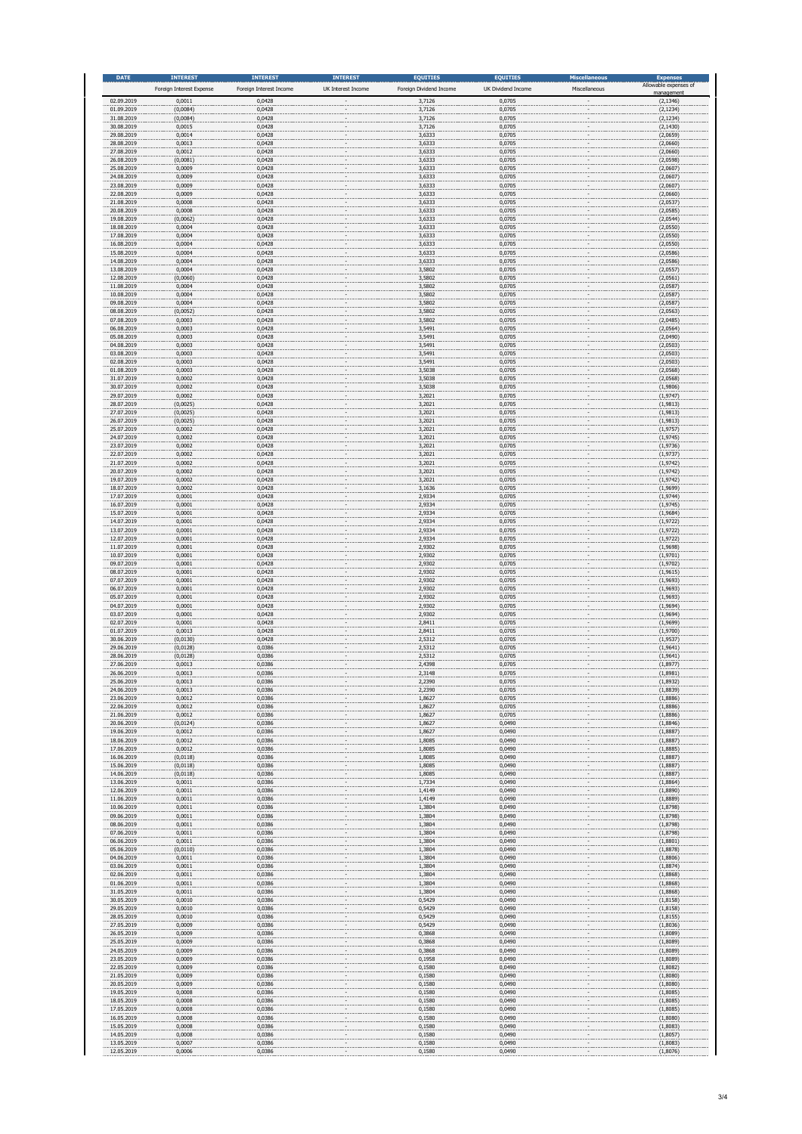| <b>DATE</b>              | <b>INTEREST</b>                    | <b>INTEREST</b>                   | <b>INTEREST</b><br>UK Interest Income | <b>EQUITIES</b><br>Foreign Dividend Income | <b>EQUITIES</b><br>UK Dividend Income | <b>Miscellaneous</b><br>Miscellaneous | <b>Expenses</b><br>Allowable expenses of |
|--------------------------|------------------------------------|-----------------------------------|---------------------------------------|--------------------------------------------|---------------------------------------|---------------------------------------|------------------------------------------|
| 02.09.2019               | Foreign Interest Expense<br>0,0011 | Foreign Interest Income<br>0,0428 |                                       | 3,7126                                     | 0,0705                                |                                       | nanageme<br>(2, 1346)                    |
| 01.09.2019<br>31.08.2019 | (0,0084)<br>(0,0084)               | 0,0428<br>0,0428                  |                                       | 3,7126<br>3,7126                           | 0,0705<br>0,0705                      |                                       | (2, 1234)<br>(2, 1234)                   |
| 30.08.2019               | 0,0015                             | 0,0428                            |                                       | 3,7126                                     | 0,0705                                |                                       | (2, 1430)                                |
| 29.08.2019<br>28.08.2019 | 0,0014<br>0,0013                   | 0,0428<br>0,0428                  |                                       | 3,6333<br>3,6333                           | 0,0705<br>0,0705                      |                                       | (2,0659)<br>(2,0660)                     |
| 27.08.2019<br>26.08.2019 | 0,0012<br>(0,0081)                 | 0,0428<br>0,0428                  |                                       | 3,6333<br>3,6333                           | 0,0705<br>0,0705                      |                                       | (2,0660)<br>(2,0598)                     |
| 25.08.2019<br>24.08.2019 | 0,0009<br>0,0009                   | 0,0428<br>0,0428                  |                                       | 3,6333<br>3,6333                           | 0,0705<br>0,0705                      |                                       | (2,0607)<br>(2,0607)                     |
| 23.08.2019               | 0,0009                             | 0,0428                            |                                       | 3,6333                                     | 0,0705                                |                                       | (2,0607)                                 |
| 22.08.2019<br>21.08.2019 | 0,0009<br>0,0008                   | 0,0428<br>0,0428                  |                                       | 3,6333<br>3,6333                           | 0,0705<br>0,0705                      |                                       | (2,0660)<br>(2,0537)                     |
| 20.08.2019<br>19.08.2019 | 0,0008<br>(0,0062)                 | 0,0428<br>0,0428                  |                                       | 3,6333<br>3,6333                           | 0,0705<br>0,0705                      |                                       | (2,0585)<br>(2,0544)                     |
| 18.08.2019<br>17.08.2019 | 0,0004                             | 0,0428                            |                                       | 3,6333                                     | 0,0705                                |                                       | (2,0550)                                 |
| 16.08.2019               | 0,0004<br>0,0004                   | 0,0428<br>0,0428                  |                                       | 3,6333<br>3,6333                           | 0,0705<br>0,0705                      |                                       | (2,0550)<br>(2,0550)                     |
| 15.08.2019<br>14.08.2019 | 0,0004<br>0,0004                   | 0,0428<br>0,0428                  |                                       | 3,6333<br>3,6333                           | 0,0705<br>0,0705                      |                                       | (2,0586)<br>(2,0586)                     |
| 13.08.2019<br>12.08.2019 | 0,0004<br>(0,0060)                 | 0,0428<br>0,0428                  |                                       | 3,5802<br>3,5802                           | 0,0705<br>0,0705                      |                                       | (2,0557)<br>(2,0561)                     |
| 11.08.2019               | 0,0004                             | 0,0428                            |                                       | 3,5802                                     | 0,0705                                |                                       | (2,0587)                                 |
| 10.08.2019<br>09.08.2019 | 0,0004<br>0,0004                   | 0,0428<br>0,0428                  |                                       | 3,5802<br>3,5802                           | 0,0705<br>0,0705                      |                                       | (2,0587)<br>(2,0587)                     |
| 08.08.2019<br>07.08.2019 | (0,0052)<br>0,0003                 | 0,0428<br>0,0428                  |                                       | 3,5802<br>3,5802                           | 0,0705<br>0,0705                      |                                       | (2,0563)<br>(2,0485)                     |
| 06.08.2019<br>05.08.2019 | 0,0003<br>0,0003                   | 0,0428<br>0,0428                  |                                       | 3,5491<br>3,5491                           | 0,0705<br>0,0705                      |                                       | (2,0564)<br>(2,0490)                     |
| 04.08.2019<br>03.08.2019 | 0,0003                             | 0,0428                            |                                       | 3,5491                                     | 0,0705                                |                                       | (2,0503)                                 |
| 02.08.2019               | 0,0003<br>0,0003                   | 0,0428<br>0,0428                  |                                       | 3,5491<br>3,5491                           | 0,0705<br>0,0705                      |                                       | (2,0503)<br>(2,0503)                     |
| 01.08.2019<br>31.07.2019 | 0,0003<br>0,0002                   | 0,0428<br>0,0428                  |                                       | 3,5038<br>3,5038                           | 0,0705<br>0,0705                      |                                       | (2,0568)<br>(2,0568)                     |
| 30.07.2019<br>29.07.2019 | 0,0002<br>0,0002                   | 0,0428<br>0,0428                  |                                       | 3,5038<br>3,2021                           | 0,0705<br>0,0705                      |                                       | (1,9806)<br>(1,9747)                     |
| 28.07.2019               | (0,0025)                           | 0,0428                            |                                       | 3,2021                                     | 0,0705                                |                                       | (1,9813)                                 |
| 27.07.2019<br>26.07.2019 | (0,0025)<br>(0,0025)               | 0,0428<br>0,0428                  |                                       | 3,2021<br>3,2021                           | 0,0705<br>0,0705                      |                                       | (1,9813)<br>(1,9813)                     |
| 25.07.2019<br>24.07.2019 | 0,0002<br>0,0002                   | 0,0428<br>0,0428                  |                                       | 3,2021<br>3,2021                           | 0,0705<br>0,0705                      |                                       | (1, 9757)<br>(1,9745)                    |
| 23.07.2019<br>22.07.2019 | 0,0002<br>0,0002                   | 0,0428<br>0,0428                  |                                       | 3,2021<br>3,2021                           | 0,0705<br>0,0705                      |                                       | (1,9736)<br>(1,9737)                     |
| 21.07.2019               | 0,0002                             | 0,0428                            |                                       | 3,2021                                     | 0,0705                                |                                       | (1,9742)                                 |
| 20.07.2019<br>19.07.2019 | 0,0002<br>0,0002                   | 0,0428<br>0,0428                  |                                       | 3,2021<br>3,2021                           | 0,0705<br>0,0705                      |                                       | (1,9742)<br>(1,9742)                     |
| 18.07.2019<br>17.07.2019 | 0,0002<br>0,0001                   | 0,0428<br>0,0428                  |                                       | 3,1636<br>2,9334                           | 0,0705<br>0,0705                      |                                       | (1,9699)<br>(1,9744)                     |
| 16.07.2019<br>15.07.2019 | 0,0001<br>0,0001                   | 0,0428<br>0,0428                  |                                       | 2,9334<br>2,9334                           | 0,0705<br>0,0705                      |                                       | (1,9745)<br>(1,9684)                     |
| 14.07.2019               | 0,0001                             | 0,0428                            |                                       | 2,9334                                     | 0,0705                                |                                       | (1,9722)                                 |
| 13.07.2019<br>12.07.2019 | 0,0001<br>0,0001                   | 0,0428<br>0,0428                  |                                       | 2,9334<br>2,9334                           | 0,0705<br>0,0705                      |                                       | (1,9722)<br>(1,9722)                     |
| 11.07.2019<br>10.07.2019 | 0,0001<br>0,0001                   | 0,0428<br>0,0428                  |                                       | 2,9302<br>2,9302                           | 0,0705<br>0,0705                      |                                       | (1,9698)<br>(1,9701)                     |
| 09.07.2019<br>08.07.2019 | 0,0001<br>0,0001                   | 0,0428<br>0,0428                  |                                       | 2,9302<br>2,9302                           | 0,0705<br>0,0705                      |                                       | (1,9702)<br>(1,9615)                     |
| 07.07.2019               | 0,0001                             | 0,0428                            |                                       | 2,9302                                     | 0,0705                                |                                       | (1,9693)                                 |
| 06.07.2019<br>05.07.2019 | 0,0001<br>0,0001                   | 0,0428<br>0,0428                  |                                       | 2,9302<br>2,9302                           | 0,0705<br>0,0705                      |                                       | (1,9693)<br>(1,9693)                     |
| 04.07.2019<br>03.07.2019 | 0,0001<br>0,0001                   | 0,0428<br>0,0428                  |                                       | 2,9302<br>2,9302                           | 0,0705<br>0,0705                      |                                       | (1,9694)<br>(1,9694)                     |
| 02.07.2019<br>01.07.2019 | 0,0001<br>0,0013                   | 0,0428<br>0,0428                  |                                       | 2,8411<br>2,8411                           | 0,0705<br>0,0705                      |                                       | (1,9699)<br>(1,9700)                     |
| 30.06.2019               | (0,0130)                           | 0,0428                            |                                       | 2,5312                                     | 0,0705                                |                                       | (1,9537)                                 |
| 29.06.2019<br>28.06.2019 | (0,0128)<br>(0,0128)               | 0,0386<br>0,0386                  |                                       | 2,5312<br>2,5312                           | 0,0705<br>0,0705                      |                                       | (1,9641)<br>(1,9641)                     |
| 27.06.2019<br>26.06.2019 | 0,0013<br>0,0013                   | 0,0386<br>0,0386                  |                                       | 2,4398<br>2,3148                           | 0,0705<br>0,0705                      |                                       | (1,8977)<br>(1,8981)                     |
| 25.06.2019<br>24.06.2019 | 0,0013<br>0,0013                   | 0,0386<br>0,0386                  |                                       | 2,2390<br>2,2390                           | 0,0705<br>0,0705                      |                                       | (1,8932)<br>(1,8839)                     |
| 23.06.2019               | 0,0012                             | 0,0386                            |                                       | 1,8627                                     | 0,0705                                |                                       | (1,8886)                                 |
| 22.06.2019<br>21.06.2019 | 0,0012<br>0,0012                   | 0,0386<br>0,0386                  |                                       | 1,8627<br>1,8627                           | 0,0705<br>0,0705                      |                                       | (1,8886)<br>(1,8886)                     |
| 20.06.2019<br>19.06.2019 | (0,0124)<br>0,0012                 | 0,0386<br>0,0386                  |                                       | 1,8627<br>1,8627                           | 0,0490<br>0,0490                      |                                       | (1,8846)<br>(1,8887)                     |
| 18.06.2019<br>17.06.2019 | 0,0012<br>0,0012                   | 0,0386<br>0,0386                  |                                       | 1,8085<br>1,8085                           | 0,0490<br>0,0490                      |                                       | (1,8887)<br>(1,8885)                     |
| 16.06.2019               | (0,0118)                           | 0,0386                            |                                       | 1,8085                                     | 0,0490                                |                                       | (1,8887)                                 |
| 15.06.2019<br>14.06.2019 | (0,0118)<br>(0, 0118)              | 0,0386<br>0,0386                  |                                       | 1,8085<br>1,8085                           | 0,0490<br>0,0490                      |                                       | (1,8887)<br>(1,8887)                     |
| 13.06.2019<br>12.06.2019 | 0,0011<br>0,0011                   | 0,0386<br>0,0386                  |                                       | 1,7334<br>1,4149                           | 0,0490<br>0,0490                      |                                       | (1,8864)<br>(1,8890)                     |
| 11.06.2019<br>10.06.2019 | 0,0011<br>0,0011                   | 0,0386<br>0,0386                  |                                       | 1,4149<br>1,3804                           | 0,0490<br>0,0490                      |                                       | (1,8889)<br>(1,8798)                     |
| 09.06.2019               | 0,0011                             | 0,0386                            |                                       | 1,3804                                     | 0,0490                                |                                       | (1,8798)                                 |
| 08.06.2019<br>07.06.2019 | 0,0011<br>0,0011                   | 0,0386<br>0,0386                  |                                       | 1,3804<br>1,3804                           | 0,0490<br>0,0490                      |                                       | (1,8798)<br>(1,8798)                     |
| 06.06.2019<br>05.06.2019 | 0,0011<br>(0, 0110)                | 0,0386<br>0,0386                  |                                       | 1,3804<br>1,3804                           | 0,0490<br>0,0490                      |                                       | (1,8801)<br>(1,8878)                     |
| 04.06.2019<br>03.06.2019 | 0,0011<br>0,0011                   | 0,0386<br>0,0386                  |                                       | 1,3804<br>1,3804                           | 0,0490<br>0,0490                      |                                       | (1,8806)<br>(1,8874)                     |
| 02.06.2019               | 0,0011                             | 0,0386                            |                                       | 1,3804                                     | 0,0490                                |                                       | (1,8868)                                 |
| 01.06.2019<br>31.05.2019 | 0,0011<br>0,0011                   | 0,0386<br>0,0386                  |                                       | 1,3804<br>1,3804                           | 0,0490<br>0,0490                      |                                       | (1,8868)<br>(1,8868)                     |
| 30.05.2019<br>29.05.2019 | 0,0010<br>0,0010                   | 0,0386<br>0,0386                  |                                       | 0,5429<br>0,5429                           | 0,0490<br>0,0490                      |                                       | (1, 8158)<br>(1, 8158)                   |
| 28.05.2019<br>27.05.2019 | 0,0010<br>0,0009                   | 0,0386<br>0,0386                  |                                       | 0,5429<br>0,5429                           | 0,0490<br>0,0490                      |                                       | (1,8155)<br>(1,8036)                     |
| 26.05.2019               | 0,0009                             | 0,0386                            |                                       | 0,3868                                     | 0,0490                                |                                       | (1,8089)                                 |
| 25.05.2019<br>24.05.2019 | 0,0009<br>0,0009                   | 0,0386<br>0,0386                  |                                       | 0,3868<br>0,3868                           | 0,0490<br>0,0490                      |                                       | (1,8089)<br>(1,8089)                     |
| 23.05.2019<br>22.05.2019 | 0,0009<br>0,0009                   | 0,0386<br>0,0386                  |                                       | 0,1958<br>0,1580                           | 0,0490<br>0,0490                      |                                       | (1,8089)<br>(1,8082)                     |
| 21.05.2019<br>20.05.2019 | 0,0009<br>0,0009                   | 0,0386<br>0,0386                  |                                       | 0,1580<br>0,1580                           | 0,0490<br>0,0490                      |                                       | (1,8080)<br>(1,8080)                     |
| 19.05.2019               | 0,0008                             | 0,0386                            |                                       | 0,1580                                     | 0,0490                                |                                       | (1,8085)                                 |
| 18.05.2019<br>17.05.2019 | 0,0008<br>0,0008                   | 0,0386<br>0,0386                  |                                       | 0,1580<br>0,1580                           | 0,0490<br>0,0490                      |                                       | (1,8085)<br>(1,8085)                     |
| 16.05.2019<br>15.05.2019 | 0,0008<br>0,0008                   | 0,0386<br>0,0386                  |                                       | 0,1580<br>0,1580                           | 0,0490<br>0,0490                      |                                       | (1,8080)<br>(1,8083)                     |
| 14.05.2019               | 0,0008                             | 0,0386                            |                                       | 0,1580                                     | 0,0490                                |                                       | (1,8057)                                 |
| 13.05.2019<br>12.05.2019 | 0,0007<br>0.0006                   | 0,0386<br>0.0386                  |                                       | 0,1580<br>0.1580                           | 0,0490<br>0.0490                      |                                       | (1,8083)<br>(1.8076)                     |